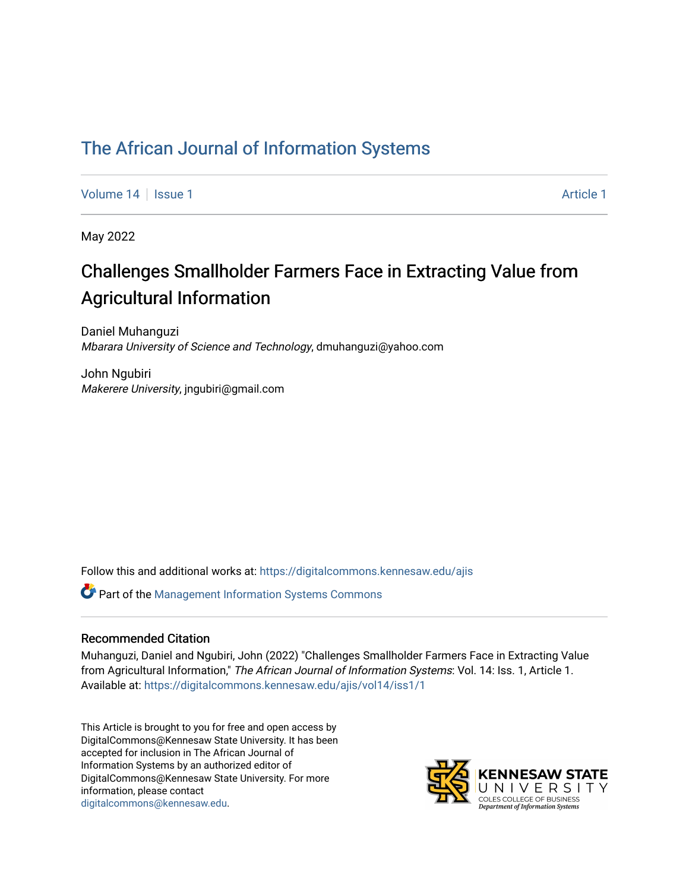# [The African Journal of Information Systems](https://digitalcommons.kennesaw.edu/ajis)

[Volume 14](https://digitalcommons.kennesaw.edu/ajis/vol14) Suitsue 1 [Article 1](https://digitalcommons.kennesaw.edu/ajis/vol14/iss1/1) Article 1 Article 1 Article 1 Article 1 Article 1

May 2022

# Challenges Smallholder Farmers Face in Extracting Value from Agricultural Information

Daniel Muhanguzi Mbarara University of Science and Technology, dmuhanguzi@yahoo.com

John Ngubiri Makerere University, jngubiri@gmail.com

Follow this and additional works at: [https://digitalcommons.kennesaw.edu/ajis](https://digitalcommons.kennesaw.edu/ajis?utm_source=digitalcommons.kennesaw.edu%2Fajis%2Fvol14%2Fiss1%2F1&utm_medium=PDF&utm_campaign=PDFCoverPages) 

Part of the [Management Information Systems Commons](http://network.bepress.com/hgg/discipline/636?utm_source=digitalcommons.kennesaw.edu%2Fajis%2Fvol14%2Fiss1%2F1&utm_medium=PDF&utm_campaign=PDFCoverPages) 

#### Recommended Citation

Muhanguzi, Daniel and Ngubiri, John (2022) "Challenges Smallholder Farmers Face in Extracting Value from Agricultural Information," The African Journal of Information Systems: Vol. 14: Iss. 1, Article 1. Available at: [https://digitalcommons.kennesaw.edu/ajis/vol14/iss1/1](https://digitalcommons.kennesaw.edu/ajis/vol14/iss1/1?utm_source=digitalcommons.kennesaw.edu%2Fajis%2Fvol14%2Fiss1%2F1&utm_medium=PDF&utm_campaign=PDFCoverPages)

This Article is brought to you for free and open access by DigitalCommons@Kennesaw State University. It has been accepted for inclusion in The African Journal of Information Systems by an authorized editor of DigitalCommons@Kennesaw State University. For more information, please contact [digitalcommons@kennesaw.edu.](mailto:digitalcommons@kennesaw.edu)

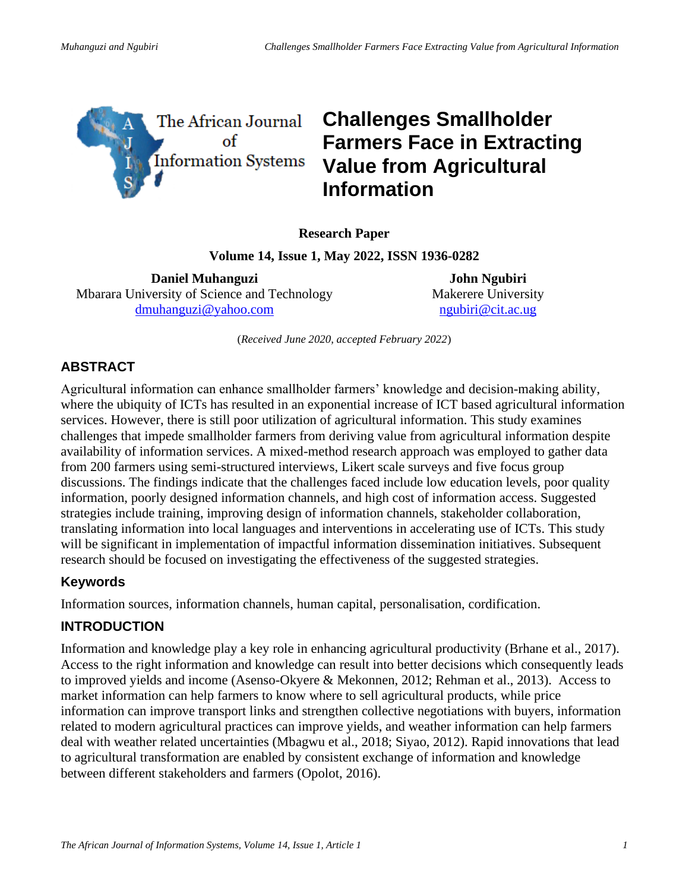

# **Challenges Smallholder Farmers Face in Extracting Value from Agricultural Information**

**Research Paper**

**Volume 14, Issue 1, May 2022, ISSN 1936-0282**

**Daniel Muhanguzi** Mbarara University of Science and Technology [dmuhanguzi@yahoo.com](mailto:dmuhanguzi@yahoo.com) 

**John Ngubiri** Makerere University [ngubiri@cit.ac.ug](mailto:ngubiri@cit.ac.ug)

(*Received June 2020, accepted February 2022*)

# **ABSTRACT**

Agricultural information can enhance smallholder farmers' knowledge and decision-making ability, where the ubiquity of ICTs has resulted in an exponential increase of ICT based agricultural information services. However, there is still poor utilization of agricultural information. This study examines challenges that impede smallholder farmers from deriving value from agricultural information despite availability of information services. A mixed-method research approach was employed to gather data from 200 farmers using semi-structured interviews, Likert scale surveys and five focus group discussions. The findings indicate that the challenges faced include low education levels, poor quality information, poorly designed information channels, and high cost of information access. Suggested strategies include training, improving design of information channels, stakeholder collaboration, translating information into local languages and interventions in accelerating use of ICTs. This study will be significant in implementation of impactful information dissemination initiatives. Subsequent research should be focused on investigating the effectiveness of the suggested strategies.

# **Keywords**

Information sources, information channels, human capital, personalisation, cordification.

# **INTRODUCTION**

Information and knowledge play a key role in enhancing agricultural productivity (Brhane et al., 2017). Access to the right information and knowledge can result into better decisions which consequently leads to improved yields and income (Asenso-Okyere & Mekonnen, 2012; Rehman et al., 2013). Access to market information can help farmers to know where to sell agricultural products, while price information can improve transport links and strengthen collective negotiations with buyers, information related to modern agricultural practices can improve yields, and weather information can help farmers deal with weather related uncertainties (Mbagwu et al., 2018; Siyao, 2012). Rapid innovations that lead to agricultural transformation are enabled by consistent exchange of information and knowledge between different stakeholders and farmers (Opolot, 2016).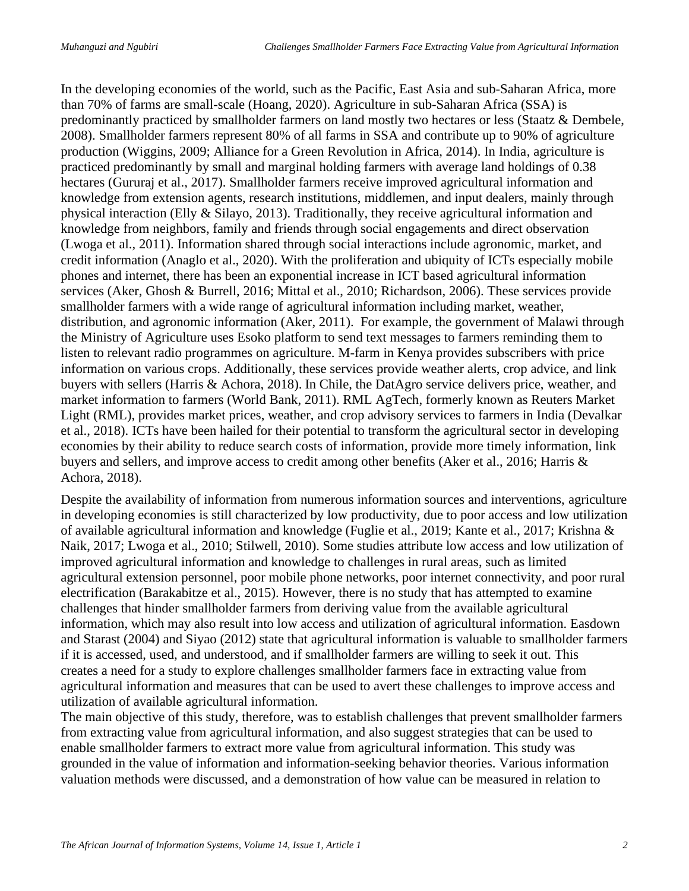In the developing economies of the world, such as the Pacific, East Asia and sub-Saharan Africa, more than 70% of farms are small-scale (Hoang, 2020). Agriculture in sub-Saharan Africa (SSA) is predominantly practiced by smallholder farmers on land mostly two hectares or less (Staatz & Dembele, 2008). Smallholder farmers represent 80% of all farms in SSA and contribute up to 90% of agriculture production (Wiggins, 2009; Alliance for a Green Revolution in Africa, 2014). In India, agriculture is practiced predominantly by small and marginal holding farmers with average land holdings of 0.38 hectares (Gururaj et al., 2017). Smallholder farmers receive improved agricultural information and knowledge from extension agents, research institutions, middlemen, and input dealers, mainly through physical interaction (Elly & Silayo, 2013). Traditionally, they receive agricultural information and knowledge from neighbors, family and friends through social engagements and direct observation (Lwoga et al., 2011). Information shared through social interactions include agronomic, market, and credit information (Anaglo et al., 2020). With the proliferation and ubiquity of ICTs especially mobile phones and internet, there has been an exponential increase in ICT based agricultural information services (Aker, Ghosh & Burrell, 2016; Mittal et al., 2010; Richardson, 2006). These services provide smallholder farmers with a wide range of agricultural information including market, weather, distribution, and agronomic information (Aker, 2011). For example, the government of Malawi through the Ministry of Agriculture uses Esoko platform to send text messages to farmers reminding them to listen to relevant radio programmes on agriculture. M-farm in Kenya provides subscribers with price information on various crops. Additionally, these services provide weather alerts, crop advice, and link buyers with sellers (Harris & Achora, 2018). In Chile, the DatAgro service delivers price, weather, and market information to farmers (World Bank, 2011). RML AgTech, formerly known as Reuters Market Light (RML), provides market prices, weather, and crop advisory services to farmers in India (Devalkar et al., 2018). ICTs have been hailed for their potential to transform the agricultural sector in developing economies by their ability to reduce search costs of information, provide more timely information, link buyers and sellers, and improve access to credit among other benefits (Aker et al., 2016; Harris & Achora, 2018).

Despite the availability of information from numerous information sources and interventions, agriculture in developing economies is still characterized by low productivity, due to poor access and low utilization of available agricultural information and knowledge (Fuglie et al., 2019; Kante et al., 2017; Krishna & Naik, 2017; Lwoga et al., 2010; Stilwell, 2010). Some studies attribute low access and low utilization of improved agricultural information and knowledge to challenges in rural areas, such as limited agricultural extension personnel, poor mobile phone networks, poor internet connectivity, and poor rural electrification (Barakabitze et al., 2015). However, there is no study that has attempted to examine challenges that hinder smallholder farmers from deriving value from the available agricultural information, which may also result into low access and utilization of agricultural information. Easdown and Starast (2004) and Siyao (2012) state that agricultural information is valuable to smallholder farmers if it is accessed, used, and understood, and if smallholder farmers are willing to seek it out. This creates a need for a study to explore challenges smallholder farmers face in extracting value from agricultural information and measures that can be used to avert these challenges to improve access and utilization of available agricultural information.

The main objective of this study, therefore, was to establish challenges that prevent smallholder farmers from extracting value from agricultural information, and also suggest strategies that can be used to enable smallholder farmers to extract more value from agricultural information. This study was grounded in the value of information and information-seeking behavior theories. Various information valuation methods were discussed, and a demonstration of how value can be measured in relation to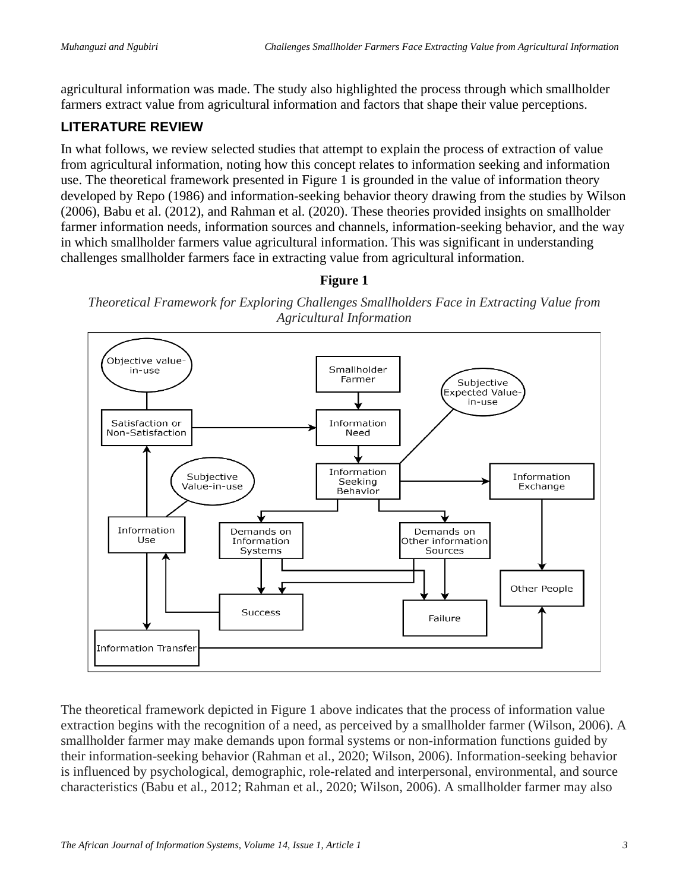agricultural information was made. The study also highlighted the process through which smallholder farmers extract value from agricultural information and factors that shape their value perceptions.

# **LITERATURE REVIEW**

In what follows, we review selected studies that attempt to explain the process of extraction of value from agricultural information, noting how this concept relates to information seeking and information use. The theoretical framework presented in Figure 1 is grounded in the value of information theory developed by Repo (1986) and information-seeking behavior theory drawing from the studies by Wilson (2006), Babu et al. (2012), and Rahman et al. (2020). These theories provided insights on smallholder farmer information needs, information sources and channels, information-seeking behavior, and the way in which smallholder farmers value agricultural information. This was significant in understanding challenges smallholder farmers face in extracting value from agricultural information.

#### **Figure 1**

*Theoretical Framework for Exploring Challenges Smallholders Face in Extracting Value from Agricultural Information*



The theoretical framework depicted in Figure 1 above indicates that the process of information value extraction begins with the recognition of a need, as perceived by a smallholder farmer (Wilson, 2006). A smallholder farmer may make demands upon formal systems or non-information functions guided by their information-seeking behavior (Rahman et al., 2020; Wilson, 2006). Information-seeking behavior is influenced by psychological, demographic, role-related and interpersonal, environmental, and source characteristics (Babu et al., 2012; Rahman et al., 2020; Wilson, 2006). A smallholder farmer may also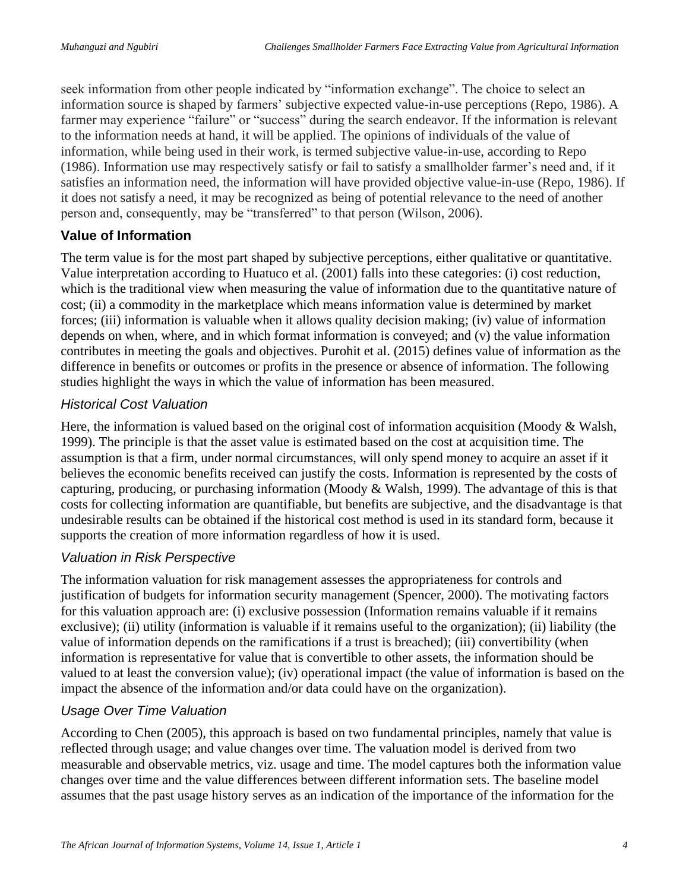seek information from other people indicated by "information exchange". The choice to select an information source is shaped by farmers' subjective expected value-in-use perceptions (Repo, 1986). A farmer may experience "failure" or "success" during the search endeavor. If the information is relevant to the information needs at hand, it will be applied. The opinions of individuals of the value of information, while being used in their work, is termed subjective value-in-use, according to Repo (1986). Information use may respectively satisfy or fail to satisfy a smallholder farmer's need and, if it satisfies an information need, the information will have provided objective value-in-use (Repo, 1986). If it does not satisfy a need, it may be recognized as being of potential relevance to the need of another person and, consequently, may be "transferred" to that person (Wilson, 2006).

## **Value of Information**

The term value is for the most part shaped by subjective perceptions, either qualitative or quantitative. Value interpretation according to Huatuco et al. (2001) falls into these categories: (i) cost reduction, which is the traditional view when measuring the value of information due to the quantitative nature of cost; (ii) a commodity in the marketplace which means information value is determined by market forces; (iii) information is valuable when it allows quality decision making; (iv) value of information depends on when, where, and in which format information is conveyed; and (v) the value information contributes in meeting the goals and objectives. Purohit et al. (2015) defines value of information as the difference in benefits or outcomes or profits in the presence or absence of information. The following studies highlight the ways in which the value of information has been measured.

## *Historical Cost Valuation*

Here, the information is valued based on the original cost of information acquisition (Moody & Walsh, 1999). The principle is that the asset value is estimated based on the cost at acquisition time. The assumption is that a firm, under normal circumstances, will only spend money to acquire an asset if it believes the economic benefits received can justify the costs. Information is represented by the costs of capturing, producing, or purchasing information (Moody & Walsh, 1999). The advantage of this is that costs for collecting information are quantifiable, but benefits are subjective, and the disadvantage is that undesirable results can be obtained if the historical cost method is used in its standard form, because it supports the creation of more information regardless of how it is used.

## *Valuation in Risk Perspective*

The information valuation for risk management assesses the appropriateness for controls and justification of budgets for information security management (Spencer, 2000). The motivating factors for this valuation approach are: (i) exclusive possession (Information remains valuable if it remains exclusive); (ii) utility (information is valuable if it remains useful to the organization); (ii) liability (the value of information depends on the ramifications if a trust is breached); (iii) convertibility (when information is representative for value that is convertible to other assets, the information should be valued to at least the conversion value); (iv) operational impact (the value of information is based on the impact the absence of the information and/or data could have on the organization).

## *Usage Over Time Valuation*

According to Chen (2005), this approach is based on two fundamental principles, namely that value is reflected through usage; and value changes over time. The valuation model is derived from two measurable and observable metrics, viz. usage and time. The model captures both the information value changes over time and the value differences between different information sets. The baseline model assumes that the past usage history serves as an indication of the importance of the information for the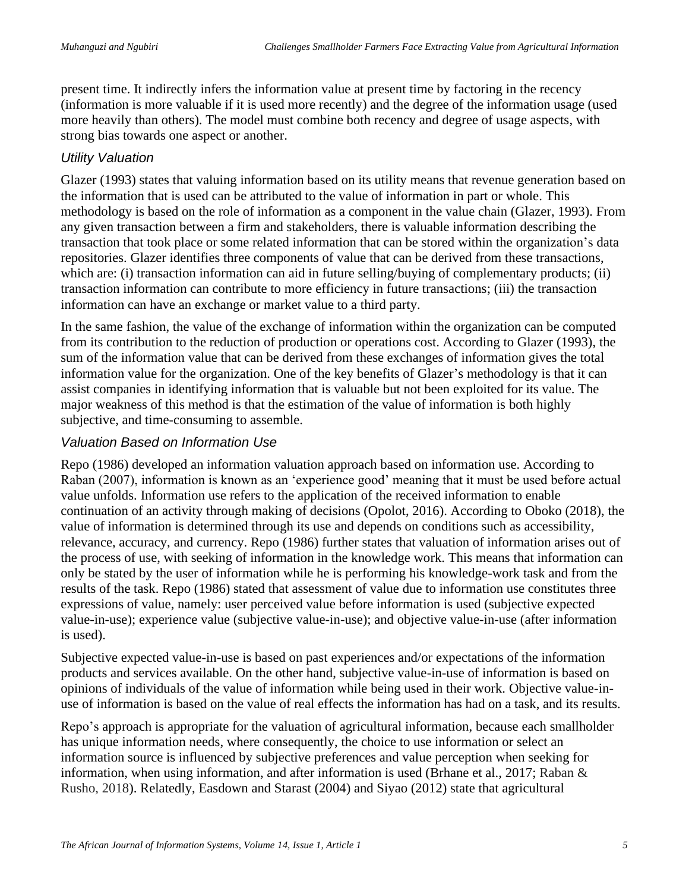present time. It indirectly infers the information value at present time by factoring in the recency (information is more valuable if it is used more recently) and the degree of the information usage (used more heavily than others). The model must combine both recency and degree of usage aspects, with strong bias towards one aspect or another.

#### *Utility Valuation*

Glazer (1993) states that valuing information based on its utility means that revenue generation based on the information that is used can be attributed to the value of information in part or whole. This methodology is based on the role of information as a component in the value chain (Glazer, 1993). From any given transaction between a firm and stakeholders, there is valuable information describing the transaction that took place or some related information that can be stored within the organization's data repositories. Glazer identifies three components of value that can be derived from these transactions, which are: (i) transaction information can aid in future selling/buying of complementary products; (ii) transaction information can contribute to more efficiency in future transactions; (iii) the transaction information can have an exchange or market value to a third party.

In the same fashion, the value of the exchange of information within the organization can be computed from its contribution to the reduction of production or operations cost. According to Glazer (1993), the sum of the information value that can be derived from these exchanges of information gives the total information value for the organization. One of the key benefits of Glazer's methodology is that it can assist companies in identifying information that is valuable but not been exploited for its value. The major weakness of this method is that the estimation of the value of information is both highly subjective, and time-consuming to assemble.

#### *Valuation Based on Information Use*

Repo (1986) developed an information valuation approach based on information use. According to Raban (2007), information is known as an 'experience good' meaning that it must be used before actual value unfolds. Information use refers to the application of the received information to enable continuation of an activity through making of decisions (Opolot, 2016). According to Oboko (2018), the value of information is determined through its use and depends on conditions such as accessibility, relevance, accuracy, and currency. Repo (1986) further states that valuation of information arises out of the process of use, with seeking of information in the knowledge work. This means that information can only be stated by the user of information while he is performing his knowledge-work task and from the results of the task. Repo (1986) stated that assessment of value due to information use constitutes three expressions of value, namely: user perceived value before information is used (subjective expected value-in-use); experience value (subjective value-in-use); and objective value-in-use (after information is used).

Subjective expected value-in-use is based on past experiences and/or expectations of the information products and services available. On the other hand, subjective value-in-use of information is based on opinions of individuals of the value of information while being used in their work. Objective value-inuse of information is based on the value of real effects the information has had on a task, and its results.

Repo's approach is appropriate for the valuation of agricultural information, because each smallholder has unique information needs, where consequently, the choice to use information or select an information source is influenced by subjective preferences and value perception when seeking for information, when using information, and after information is used (Brhane et al., 2017; Raban & Rusho, 2018). Relatedly, Easdown and Starast (2004) and Siyao (2012) state that agricultural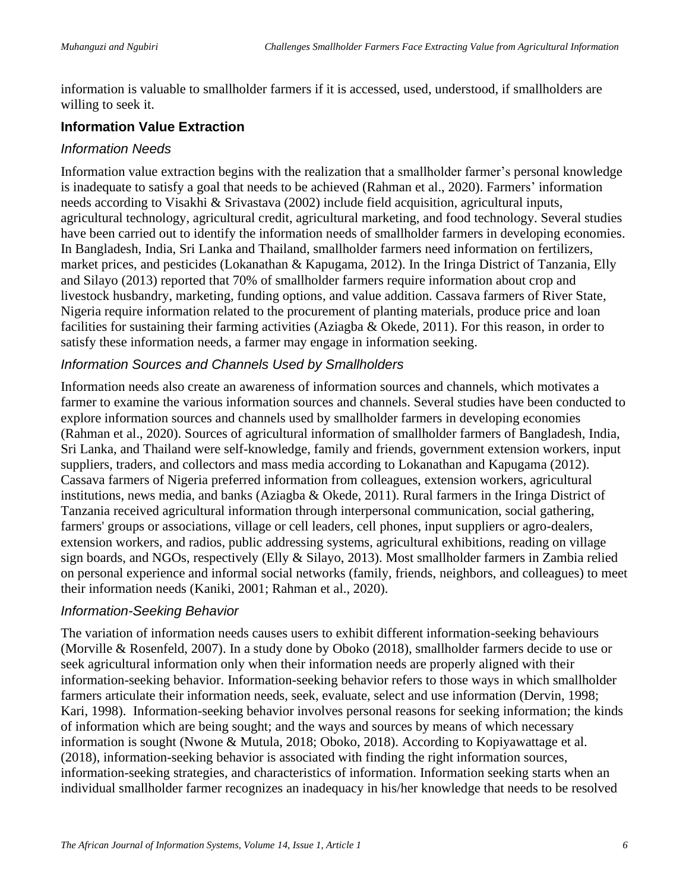information is valuable to smallholder farmers if it is accessed, used, understood, if smallholders are willing to seek it.

## **Information Value Extraction**

#### *Information Needs*

Information value extraction begins with the realization that a smallholder farmer's personal knowledge is inadequate to satisfy a goal that needs to be achieved (Rahman et al., 2020). Farmers' information needs according to Visakhi & Srivastava (2002) include field acquisition, agricultural inputs, agricultural technology, agricultural credit, agricultural marketing, and food technology. Several studies have been carried out to identify the information needs of smallholder farmers in developing economies. In Bangladesh, India, Sri Lanka and Thailand, smallholder farmers need information on fertilizers, market prices, and pesticides (Lokanathan & Kapugama, 2012). In the Iringa District of Tanzania, Elly and Silayo (2013) reported that 70% of smallholder farmers require information about crop and livestock husbandry, marketing, funding options, and value addition. Cassava farmers of River State, Nigeria require information related to the procurement of planting materials, produce price and loan facilities for sustaining their farming activities (Aziagba & Okede, 2011). For this reason, in order to satisfy these information needs, a farmer may engage in information seeking.

#### *Information Sources and Channels Used by Smallholders*

Information needs also create an awareness of information sources and channels, which motivates a farmer to examine the various information sources and channels. Several studies have been conducted to explore information sources and channels used by smallholder farmers in developing economies (Rahman et al., 2020). Sources of agricultural information of smallholder farmers of Bangladesh, India, Sri Lanka, and Thailand were self-knowledge, family and friends, government extension workers, input suppliers, traders, and collectors and mass media according to Lokanathan and Kapugama (2012). Cassava farmers of Nigeria preferred information from colleagues, extension workers, agricultural institutions, news media, and banks (Aziagba & Okede, 2011). Rural farmers in the Iringa District of Tanzania received agricultural information through interpersonal communication, social gathering, farmers' groups or associations, village or cell leaders, cell phones, input suppliers or agro-dealers, extension workers, and radios, public addressing systems, agricultural exhibitions, reading on village sign boards, and NGOs, respectively (Elly & Silayo, 2013). Most smallholder farmers in Zambia relied on personal experience and informal social networks (family, friends, neighbors, and colleagues) to meet their information needs (Kaniki, 2001; Rahman et al., 2020).

#### *Information-Seeking Behavior*

The variation of information needs causes users to exhibit different information-seeking behaviours (Morville & Rosenfeld, 2007). In a study done by Oboko (2018), smallholder farmers decide to use or seek agricultural information only when their information needs are properly aligned with their information-seeking behavior. Information-seeking behavior refers to those ways in which smallholder farmers articulate their information needs, seek, evaluate, select and use information (Dervin, 1998; Kari, 1998). Information-seeking behavior involves personal reasons for seeking information; the kinds of information which are being sought; and the ways and sources by means of which necessary information is sought (Nwone & Mutula, 2018; Oboko, 2018). According to Kopiyawattage et al. (2018), information-seeking behavior is associated with finding the right information sources, information-seeking strategies, and characteristics of information. Information seeking starts when an individual smallholder farmer recognizes an inadequacy in his/her knowledge that needs to be resolved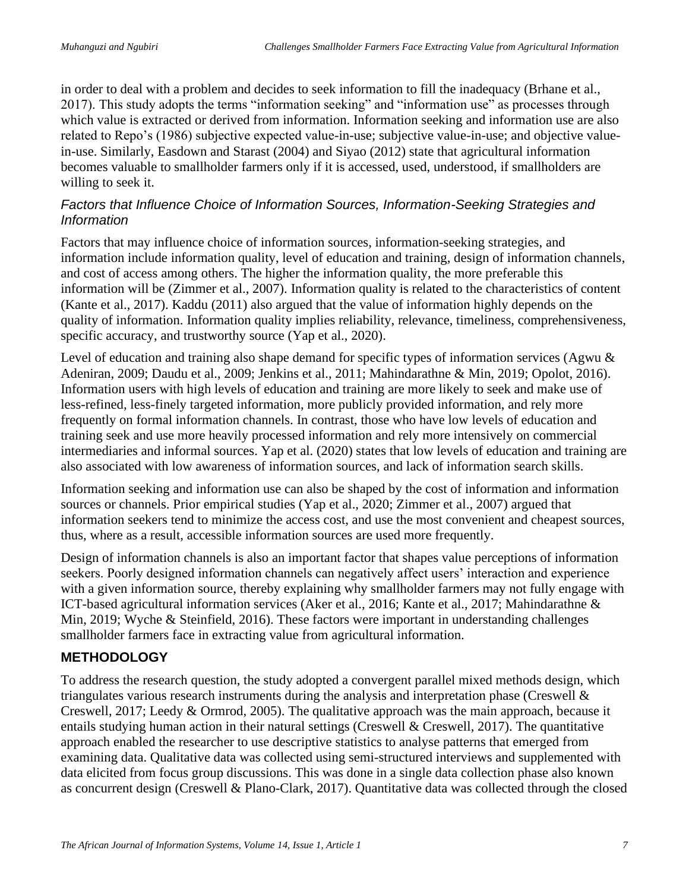in order to deal with a problem and decides to seek information to fill the inadequacy (Brhane et al., 2017). This study adopts the terms "information seeking" and "information use" as processes through which value is extracted or derived from information. Information seeking and information use are also related to Repo's (1986) subjective expected value-in-use; subjective value-in-use; and objective valuein-use. Similarly, Easdown and Starast (2004) and Siyao (2012) state that agricultural information becomes valuable to smallholder farmers only if it is accessed, used, understood, if smallholders are willing to seek it.

#### *Factors that Influence Choice of Information Sources, Information-Seeking Strategies and Information*

Factors that may influence choice of information sources, information-seeking strategies, and information include information quality, level of education and training, design of information channels, and cost of access among others. The higher the information quality, the more preferable this information will be (Zimmer et al., 2007). Information quality is related to the characteristics of content (Kante et al., 2017). Kaddu (2011) also argued that the value of information highly depends on the quality of information. Information quality implies reliability, relevance, timeliness, comprehensiveness, specific accuracy, and trustworthy source (Yap et al., 2020).

Level of education and training also shape demand for specific types of information services (Agwu & Adeniran, 2009; Daudu et al., 2009; Jenkins et al., 2011; Mahindarathne & Min, 2019; Opolot, 2016). Information users with high levels of education and training are more likely to seek and make use of less-refined, less-finely targeted information, more publicly provided information, and rely more frequently on formal information channels. In contrast, those who have low levels of education and training seek and use more heavily processed information and rely more intensively on commercial intermediaries and informal sources. Yap et al. (2020) states that low levels of education and training are also associated with low awareness of information sources, and lack of information search skills.

Information seeking and information use can also be shaped by the cost of information and information sources or channels. Prior empirical studies (Yap et al., 2020; Zimmer et al., 2007) argued that information seekers tend to minimize the access cost, and use the most convenient and cheapest sources, thus, where as a result, accessible information sources are used more frequently.

Design of information channels is also an important factor that shapes value perceptions of information seekers. Poorly designed information channels can negatively affect users' interaction and experience with a given information source, thereby explaining why smallholder farmers may not fully engage with ICT-based agricultural information services (Aker et al., 2016; Kante et al., 2017; Mahindarathne & Min, 2019; Wyche & Steinfield, 2016). These factors were important in understanding challenges smallholder farmers face in extracting value from agricultural information.

# **METHODOLOGY**

To address the research question, the study adopted a convergent parallel mixed methods design, which triangulates various research instruments during the analysis and interpretation phase (Creswell & Creswell, 2017; Leedy & Ormrod, 2005). The qualitative approach was the main approach, because it entails studying human action in their natural settings (Creswell & Creswell, 2017). The quantitative approach enabled the researcher to use descriptive statistics to analyse patterns that emerged from examining data. Qualitative data was collected using semi-structured interviews and supplemented with data elicited from focus group discussions. This was done in a single data collection phase also known as concurrent design (Creswell & Plano-Clark, 2017). Quantitative data was collected through the closed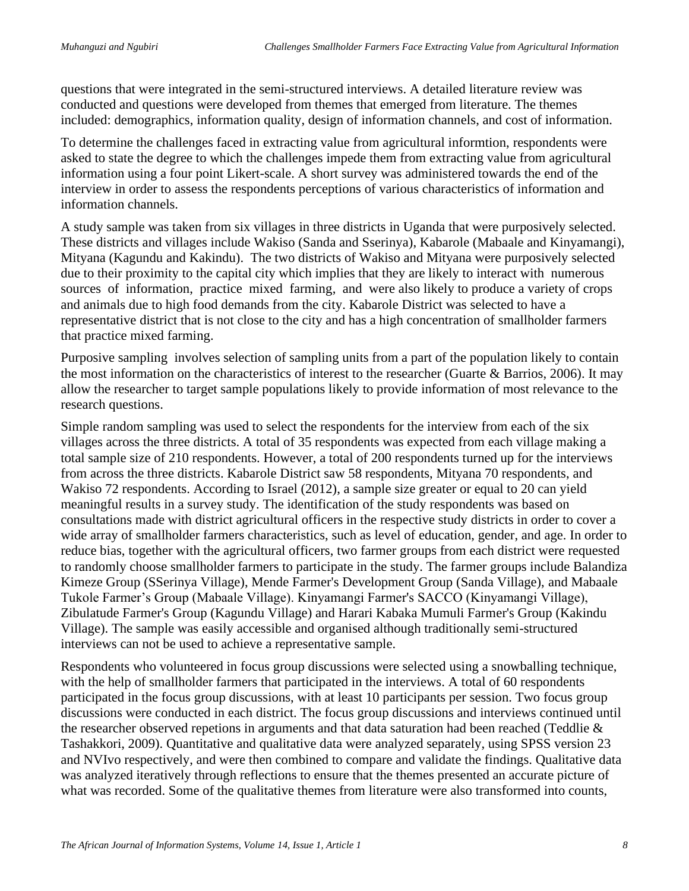questions that were integrated in the semi-structured interviews. A detailed literature review was conducted and questions were developed from themes that emerged from literature. The themes included: demographics, information quality, design of information channels, and cost of information.

To determine the challenges faced in extracting value from agricultural informtion, respondents were asked to state the degree to which the challenges impede them from extracting value from agricultural information using a four point Likert-scale. A short survey was administered towards the end of the interview in order to assess the respondents perceptions of various characteristics of information and information channels.

A study sample was taken from six villages in three districts in Uganda that were purposively selected. These districts and villages include Wakiso (Sanda and Sserinya), Kabarole (Mabaale and Kinyamangi), Mityana (Kagundu and Kakindu). The two districts of Wakiso and Mityana were purposively selected due to their proximity to the capital city which implies that they are likely to interact with numerous sources of information, practice mixed farming, and were also likely to produce a variety of crops and animals due to high food demands from the city. Kabarole District was selected to have a representative district that is not close to the city and has a high concentration of smallholder farmers that practice mixed farming.

Purposive sampling involves selection of sampling units from a part of the population likely to contain the most information on the characteristics of interest to the researcher (Guarte & Barrios, 2006). It may allow the researcher to target sample populations likely to provide information of most relevance to the research questions.

Simple random sampling was used to select the respondents for the interview from each of the six villages across the three districts. A total of 35 respondents was expected from each village making a total sample size of 210 respondents. However, a total of 200 respondents turned up for the interviews from across the three districts. Kabarole District saw 58 respondents, Mityana 70 respondents, and Wakiso 72 respondents. According to Israel (2012), a sample size greater or equal to 20 can yield meaningful results in a survey study. The identification of the study respondents was based on consultations made with district agricultural officers in the respective study districts in order to cover a wide array of smallholder farmers characteristics, such as level of education, gender, and age. In order to reduce bias, together with the agricultural officers, two farmer groups from each district were requested to randomly choose smallholder farmers to participate in the study. The farmer groups include Balandiza Kimeze Group (SSerinya Village), Mende Farmer's Development Group (Sanda Village), and Mabaale Tukole Farmer's Group (Mabaale Village). Kinyamangi Farmer's SACCO (Kinyamangi Village), Zibulatude Farmer's Group (Kagundu Village) and Harari Kabaka Mumuli Farmer's Group (Kakindu Village). The sample was easily accessible and organised although traditionally semi-structured interviews can not be used to achieve a representative sample.

Respondents who volunteered in focus group discussions were selected using a snowballing technique, with the help of smallholder farmers that participated in the interviews. A total of 60 respondents participated in the focus group discussions, with at least 10 participants per session. Two focus group discussions were conducted in each district. The focus group discussions and interviews continued until the researcher observed repetions in arguments and that data saturation had been reached (Teddlie & Tashakkori, 2009). Quantitative and qualitative data were analyzed separately, using SPSS version 23 and NVIvo respectively, and were then combined to compare and validate the findings. Qualitative data was analyzed iteratively through reflections to ensure that the themes presented an accurate picture of what was recorded. Some of the qualitative themes from literature were also transformed into counts,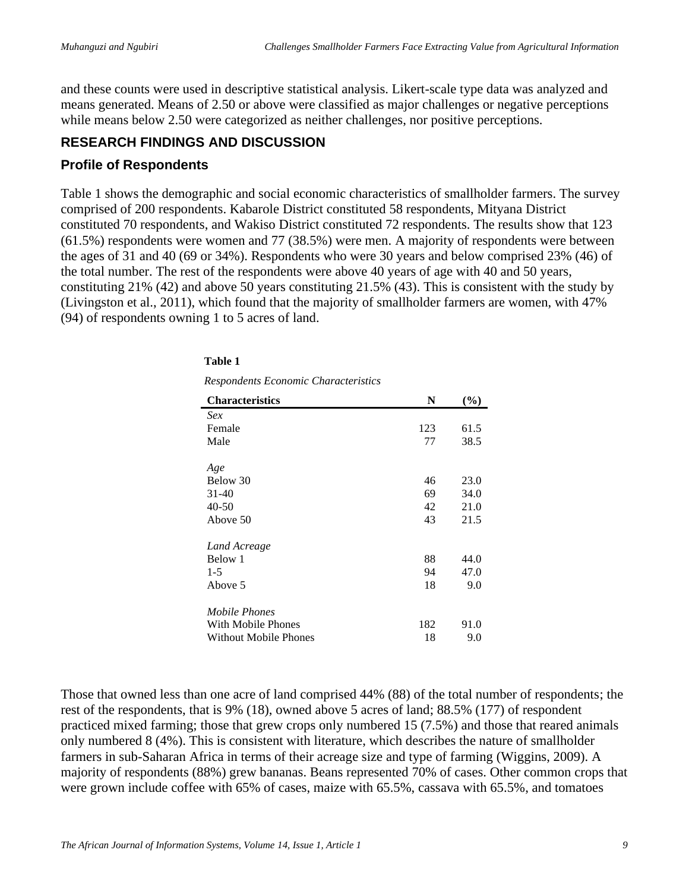and these counts were used in descriptive statistical analysis. Likert-scale type data was analyzed and means generated. Means of 2.50 or above were classified as major challenges or negative perceptions while means below 2.50 were categorized as neither challenges, nor positive perceptions.

## **RESEARCH FINDINGS AND DISCUSSION**

#### **Profile of Respondents**

Table 1 shows the demographic and social economic characteristics of smallholder farmers. The survey comprised of 200 respondents. Kabarole District constituted 58 respondents, Mityana District constituted 70 respondents, and Wakiso District constituted 72 respondents. The results show that 123 (61.5%) respondents were women and 77 (38.5%) were men. A majority of respondents were between the ages of 31 and 40 (69 or 34%). Respondents who were 30 years and below comprised 23% (46) of the total number. The rest of the respondents were above 40 years of age with 40 and 50 years, constituting 21% (42) and above 50 years constituting 21.5% (43). This is consistent with the study by (Livingston et al., 2011), which found that the majority of smallholder farmers are women, with 47% (94) of respondents owning 1 to 5 acres of land.

| nesponuenis Economic Characteristics |     |      |
|--------------------------------------|-----|------|
| <b>Characteristics</b>               | N   | (%)  |
| Sex                                  |     |      |
| Female                               | 123 | 61.5 |
| Male                                 | 77  | 38.5 |
| Age                                  |     |      |
| Below 30                             | 46  | 23.0 |
| $31 - 40$                            | 69  | 34.0 |
| $40 - 50$                            | 42  | 21.0 |
| Above 50                             | 43  | 21.5 |
| Land Acreage                         |     |      |
| Below 1                              | 88  | 44.0 |
| $1 - 5$                              | 94  | 47.0 |
| Above 5                              | 18  | 9.0  |
| Mobile Phones                        |     |      |
| With Mobile Phones                   | 182 | 91.0 |
| <b>Without Mobile Phones</b>         | 18  | 9.0  |

#### **Table 1**

*Respondents Economic Characteristics*

Those that owned less than one acre of land comprised 44% (88) of the total number of respondents; the rest of the respondents, that is 9% (18), owned above 5 acres of land; 88.5% (177) of respondent practiced mixed farming; those that grew crops only numbered 15 (7.5%) and those that reared animals only numbered 8 (4%). This is consistent with literature, which describes the nature of smallholder farmers in sub-Saharan Africa in terms of their acreage size and type of farming (Wiggins, 2009). A majority of respondents (88%) grew bananas. Beans represented 70% of cases. Other common crops that were grown include coffee with 65% of cases, maize with 65.5%, cassava with 65.5%, and tomatoes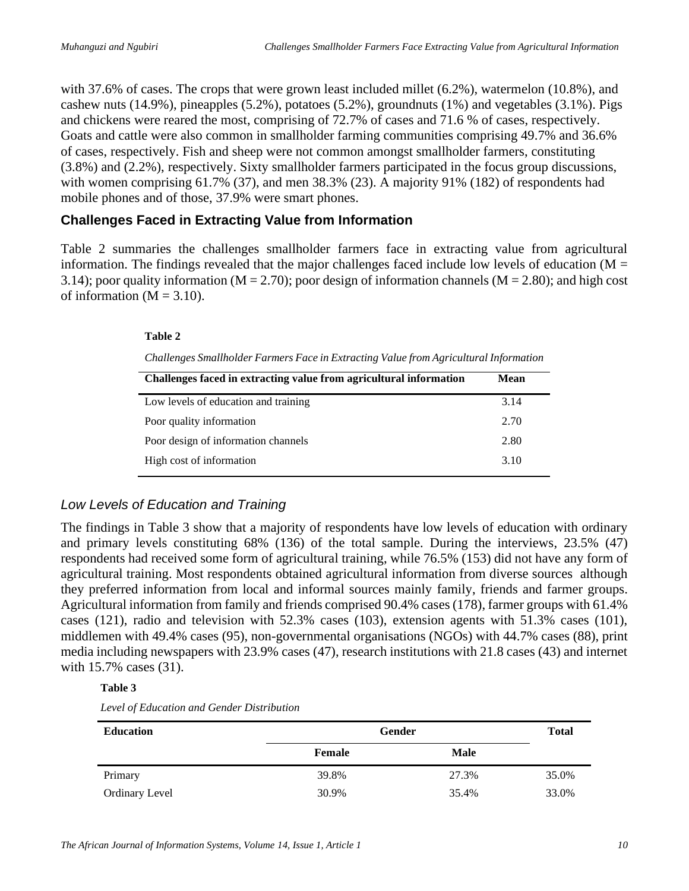with 37.6% of cases. The crops that were grown least included millet (6.2%), watermelon (10.8%), and cashew nuts (14.9%), pineapples (5.2%), potatoes (5.2%), groundnuts (1%) and vegetables (3.1%). Pigs and chickens were reared the most, comprising of 72.7% of cases and 71.6 % of cases, respectively. Goats and cattle were also common in smallholder farming communities comprising 49.7% and 36.6% of cases, respectively. Fish and sheep were not common amongst smallholder farmers, constituting (3.8%) and (2.2%), respectively. Sixty smallholder farmers participated in the focus group discussions, with women comprising 61.7% (37), and men 38.3% (23). A majority 91% (182) of respondents had mobile phones and of those, 37.9% were smart phones.

#### **Challenges Faced in Extracting Value from Information**

Table 2 summaries the challenges smallholder farmers face in extracting value from agricultural information. The findings revealed that the major challenges faced include low levels of education ( $M =$ 3.14); poor quality information (M = 2.70); poor design of information channels (M = 2.80); and high cost of information  $(M = 3.10)$ .

#### **Table 2**

| Challenges Smallholder Farmers Face in Extracting Value from Agricultural Information |  |  |  |
|---------------------------------------------------------------------------------------|--|--|--|
|                                                                                       |  |  |  |

| Challenges faced in extracting value from agricultural information | <b>Mean</b> |  |  |
|--------------------------------------------------------------------|-------------|--|--|
| Low levels of education and training                               | 3.14        |  |  |
| Poor quality information                                           | 2.70        |  |  |
| Poor design of information channels                                | 2.80        |  |  |
| High cost of information                                           | 3.10        |  |  |

## *Low Levels of Education and Training*

The findings in Table 3 show that a majority of respondents have low levels of education with ordinary and primary levels constituting 68% (136) of the total sample. During the interviews, 23.5% (47) respondents had received some form of agricultural training, while 76.5% (153) did not have any form of agricultural training. Most respondents obtained agricultural information from diverse sources although they preferred information from local and informal sources mainly family, friends and farmer groups. Agricultural information from family and friends comprised 90.4% cases (178), farmer groups with 61.4% cases (121), radio and television with 52.3% cases (103), extension agents with 51.3% cases (101), middlemen with 49.4% cases (95), non-governmental organisations (NGOs) with 44.7% cases (88), print media including newspapers with 23.9% cases (47), research institutions with 21.8 cases (43) and internet with 15.7% cases (31).

#### **Table 3**

*Level of Education and Gender Distribution*

| <b>Education</b>      |        | <b>Gender</b> |       |  |  |  |
|-----------------------|--------|---------------|-------|--|--|--|
|                       | Female | Male          |       |  |  |  |
| Primary               | 39.8%  | 27.3%         | 35.0% |  |  |  |
| <b>Ordinary Level</b> | 30.9%  | 35.4%         | 33.0% |  |  |  |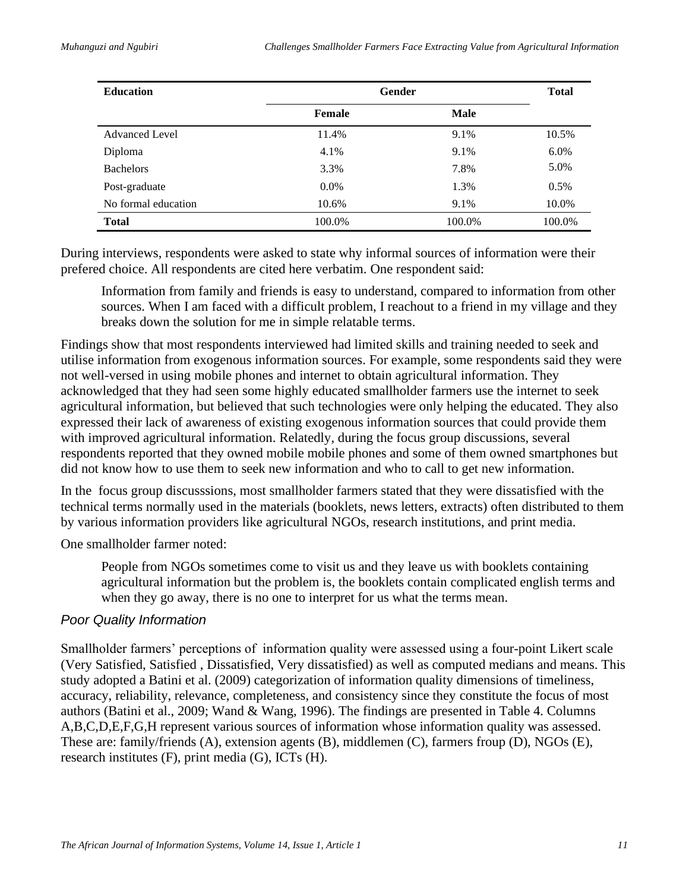| <b>Education</b>      | <b>Gender</b> | <b>Total</b> |         |
|-----------------------|---------------|--------------|---------|
|                       | Female        | <b>Male</b>  |         |
| <b>Advanced Level</b> | 11.4%         | 9.1%         | 10.5%   |
| Diploma               | 4.1%          | 9.1%         | $6.0\%$ |
| <b>Bachelors</b>      | 3.3%          | 7.8%         | 5.0%    |
| Post-graduate         | $0.0\%$       | 1.3%         | 0.5%    |
| No formal education   | 10.6%         | 9.1%         | 10.0%   |
| <b>Total</b>          | 100.0%        | 100.0%       | 100.0%  |

During interviews, respondents were asked to state why informal sources of information were their prefered choice. All respondents are cited here verbatim. One respondent said:

Information from family and friends is easy to understand, compared to information from other sources. When I am faced with a difficult problem, I reachout to a friend in my village and they breaks down the solution for me in simple relatable terms.

Findings show that most respondents interviewed had limited skills and training needed to seek and utilise information from exogenous information sources. For example, some respondents said they were not well-versed in using mobile phones and internet to obtain agricultural information. They acknowledged that they had seen some highly educated smallholder farmers use the internet to seek agricultural information, but believed that such technologies were only helping the educated. They also expressed their lack of awareness of existing exogenous information sources that could provide them with improved agricultural information. Relatedly, during the focus group discussions, several respondents reported that they owned mobile mobile phones and some of them owned smartphones but did not know how to use them to seek new information and who to call to get new information.

In the focus group discusssions, most smallholder farmers stated that they were dissatisfied with the technical terms normally used in the materials (booklets, news letters, extracts) often distributed to them by various information providers like agricultural NGOs, research institutions, and print media.

One smallholder farmer noted:

People from NGOs sometimes come to visit us and they leave us with booklets containing agricultural information but the problem is, the booklets contain complicated english terms and when they go away, there is no one to interpret for us what the terms mean.

#### *Poor Quality Information*

Smallholder farmers' perceptions of information quality were assessed using a four-point Likert scale (Very Satisfied, Satisfied , Dissatisfied, Very dissatisfied) as well as computed medians and means. This study adopted a Batini et al. (2009) categorization of information quality dimensions of timeliness, accuracy, reliability, relevance, completeness, and consistency since they constitute the focus of most authors (Batini et al., 2009; Wand & Wang, 1996). The findings are presented in Table 4. Columns A,B,C,D,E,F,G,H represent various sources of information whose information quality was assessed. These are: family/friends (A), extension agents (B), middlemen (C), farmers froup (D), NGOs (E), research institutes (F), print media (G), ICTs (H).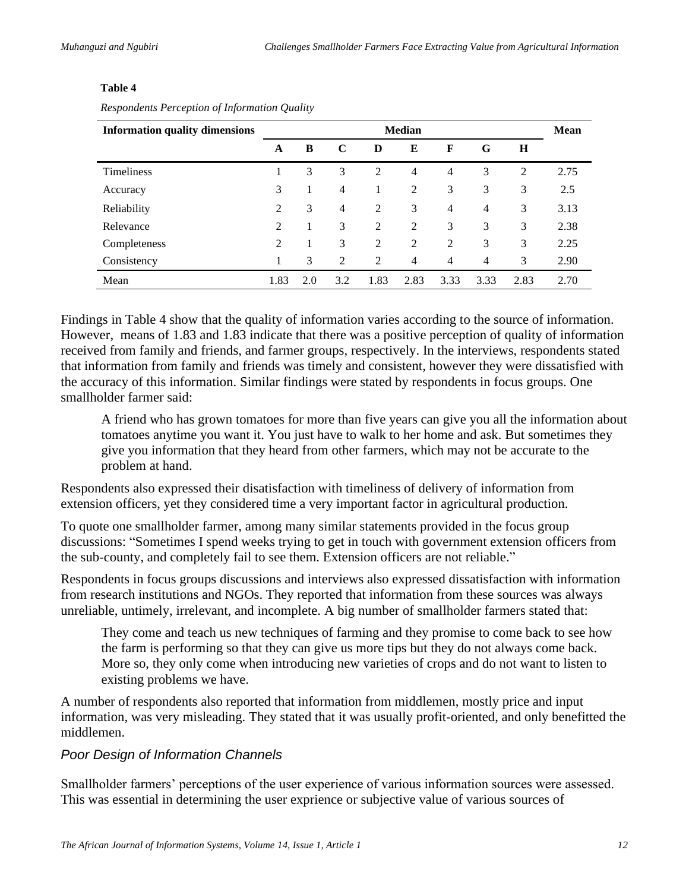#### **Table 4**

| <b>Information quality dimensions</b> | <b>Median</b>  |     |     |                |                |                |                | Mean |      |
|---------------------------------------|----------------|-----|-----|----------------|----------------|----------------|----------------|------|------|
|                                       | A              | B   | C   | D              | E              | F              | G              | H    |      |
| <b>Timeliness</b>                     |                | 3   | 3   | $\overline{2}$ | $\overline{4}$ | $\overline{4}$ | 3              | 2    | 2.75 |
| Accuracy                              | 3              |     | 4   |                | 2              | 3              | 3              | 3    | 2.5  |
| Reliability                           | $\overline{2}$ | 3   | 4   | 2              | 3              | $\overline{4}$ | $\overline{4}$ | 3    | 3.13 |
| Relevance                             | $\overline{2}$ |     | 3   | 2              | 2              | 3              | 3              | 3    | 2.38 |
| Completeness                          | 2              |     | 3   | $\overline{2}$ | 2              | $\overline{2}$ | 3              | 3    | 2.25 |
| Consistency                           |                | 3   | 2   | 2              | $\overline{4}$ | $\overline{4}$ | 4              | 3    | 2.90 |
| Mean                                  | 1.83           | 2.0 | 3.2 | 1.83           | 2.83           | 3.33           | 3.33           | 2.83 | 2.70 |

*Respondents Perception of Information Quality*

Findings in Table 4 show that the quality of information varies according to the source of information. However, means of 1.83 and 1.83 indicate that there was a positive perception of quality of information received from family and friends, and farmer groups, respectively. In the interviews, respondents stated that information from family and friends was timely and consistent, however they were dissatisfied with the accuracy of this information. Similar findings were stated by respondents in focus groups. One smallholder farmer said:

A friend who has grown tomatoes for more than five years can give you all the information about tomatoes anytime you want it. You just have to walk to her home and ask. But sometimes they give you information that they heard from other farmers, which may not be accurate to the problem at hand.

Respondents also expressed their disatisfaction with timeliness of delivery of information from extension officers, yet they considered time a very important factor in agricultural production.

To quote one smallholder farmer, among many similar statements provided in the focus group discussions: "Sometimes I spend weeks trying to get in touch with government extension officers from the sub-county, and completely fail to see them. Extension officers are not reliable."

Respondents in focus groups discussions and interviews also expressed dissatisfaction with information from research institutions and NGOs. They reported that information from these sources was always unreliable, untimely, irrelevant, and incomplete. A big number of smallholder farmers stated that:

They come and teach us new techniques of farming and they promise to come back to see how the farm is performing so that they can give us more tips but they do not always come back. More so, they only come when introducing new varieties of crops and do not want to listen to existing problems we have.

A number of respondents also reported that information from middlemen, mostly price and input information, was very misleading. They stated that it was usually profit-oriented, and only benefitted the middlemen.

#### *Poor Design of Information Channels*

Smallholder farmers' perceptions of the user experience of various information sources were assessed. This was essential in determining the user exprience or subjective value of various sources of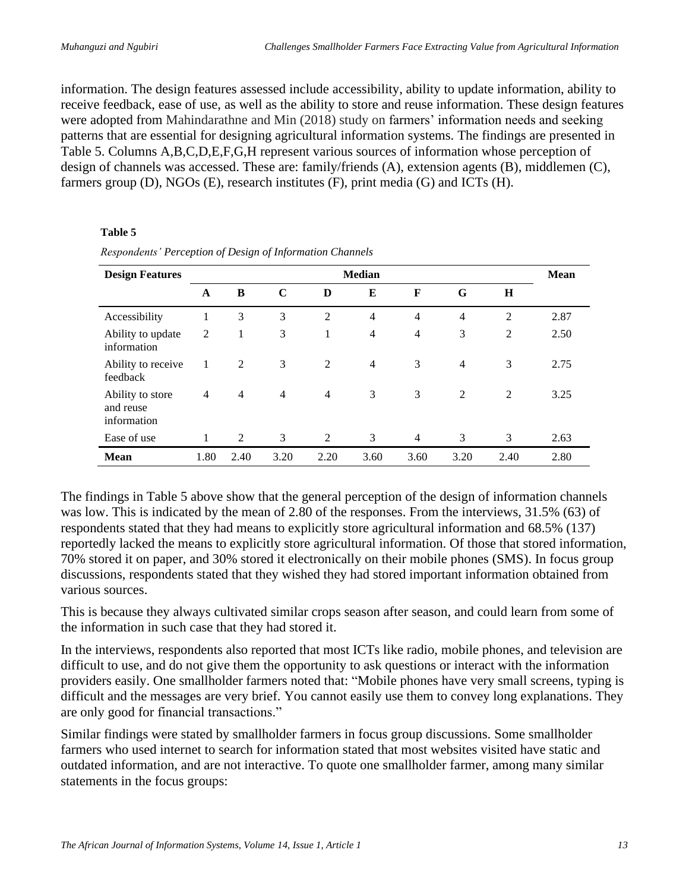information. The design features assessed include accessibility, ability to update information, ability to receive feedback, ease of use, as well as the ability to store and reuse information. These design features were adopted from Mahindarathne and Min (2018) study on farmers' information needs and seeking patterns that are essential for designing agricultural information systems. The findings are presented in Table 5. Columns A,B,C,D,E,F,G,H represent various sources of information whose perception of design of channels was accessed. These are: family/friends (A), extension agents (B), middlemen (C), farmers group (D), NGOs (E), research institutes (F), print media (G) and ICTs (H).

#### **Table 5**

| <b>Design Features</b>                       | <b>Median</b>  |                |                |                |                |                |                |                | <b>Mean</b> |
|----------------------------------------------|----------------|----------------|----------------|----------------|----------------|----------------|----------------|----------------|-------------|
|                                              | A              | B              | C              | D              | E              | F              | G              | H              |             |
| Accessibility                                | 1              | 3              | 3              | $\overline{2}$ | $\overline{4}$ | $\overline{4}$ | $\overline{4}$ | $\overline{2}$ | 2.87        |
| Ability to update<br>information             | $\overline{2}$ | 1              | 3              | 1              | $\overline{4}$ | $\overline{4}$ | 3              | $\overline{2}$ | 2.50        |
| Ability to receive<br>feedback               | 1              | 2              | 3              | 2              | $\overline{4}$ | 3              | $\overline{4}$ | 3              | 2.75        |
| Ability to store<br>and reuse<br>information | $\overline{4}$ | $\overline{4}$ | $\overline{4}$ | 4              | 3              | 3              | 2              | $\overline{2}$ | 3.25        |
| Ease of use                                  |                | 2              | 3              | 2              | 3              | $\overline{4}$ | 3              | 3              | 2.63        |
| <b>Mean</b>                                  | 1.80           | 2.40           | 3.20           | 2.20           | 3.60           | 3.60           | 3.20           | 2.40           | 2.80        |

*Respondents' Perception of Design of Information Channels*

The findings in Table 5 above show that the general perception of the design of information channels was low. This is indicated by the mean of 2.80 of the responses. From the interviews, 31.5% (63) of respondents stated that they had means to explicitly store agricultural information and 68.5% (137) reportedly lacked the means to explicitly store agricultural information. Of those that stored information, 70% stored it on paper, and 30% stored it electronically on their mobile phones (SMS). In focus group discussions, respondents stated that they wished they had stored important information obtained from various sources.

This is because they always cultivated similar crops season after season, and could learn from some of the information in such case that they had stored it.

In the interviews, respondents also reported that most ICTs like radio, mobile phones, and television are difficult to use, and do not give them the opportunity to ask questions or interact with the information providers easily. One smallholder farmers noted that: "Mobile phones have very small screens, typing is difficult and the messages are very brief. You cannot easily use them to convey long explanations. They are only good for financial transactions."

Similar findings were stated by smallholder farmers in focus group discussions. Some smallholder farmers who used internet to search for information stated that most websites visited have static and outdated information, and are not interactive. To quote one smallholder farmer, among many similar statements in the focus groups: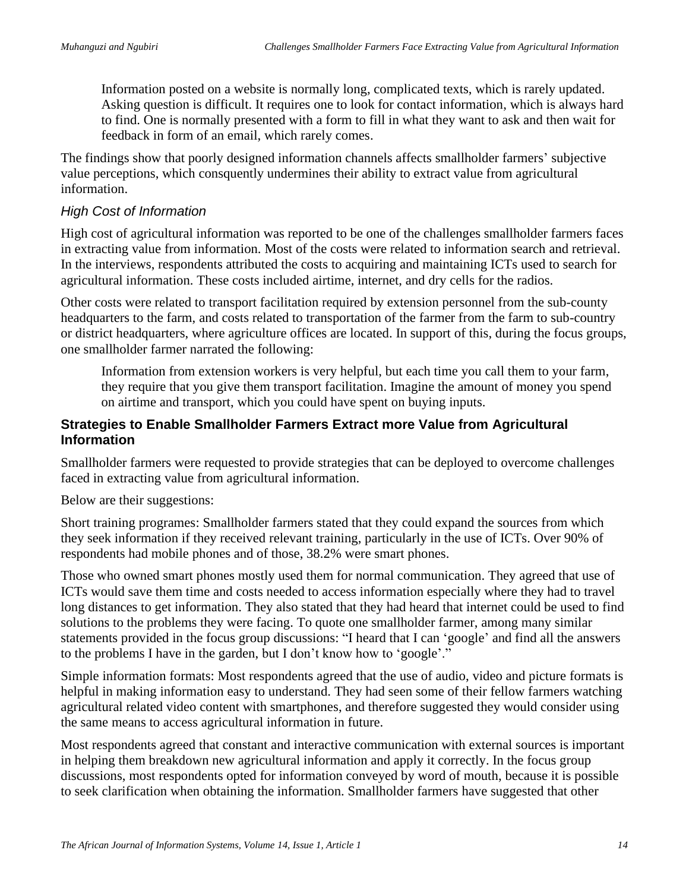Information posted on a website is normally long, complicated texts, which is rarely updated. Asking question is difficult. It requires one to look for contact information, which is always hard to find. One is normally presented with a form to fill in what they want to ask and then wait for feedback in form of an email, which rarely comes.

The findings show that poorly designed information channels affects smallholder farmers' subjective value perceptions, which consquently undermines their ability to extract value from agricultural information.

#### *High Cost of Information*

High cost of agricultural information was reported to be one of the challenges smallholder farmers faces in extracting value from information. Most of the costs were related to information search and retrieval. In the interviews, respondents attributed the costs to acquiring and maintaining ICTs used to search for agricultural information. These costs included airtime, internet, and dry cells for the radios.

Other costs were related to transport facilitation required by extension personnel from the sub-county headquarters to the farm, and costs related to transportation of the farmer from the farm to sub-country or district headquarters, where agriculture offices are located. In support of this, during the focus groups, one smallholder farmer narrated the following:

Information from extension workers is very helpful, but each time you call them to your farm, they require that you give them transport facilitation. Imagine the amount of money you spend on airtime and transport, which you could have spent on buying inputs.

#### **Strategies to Enable Smallholder Farmers Extract more Value from Agricultural Information**

Smallholder farmers were requested to provide strategies that can be deployed to overcome challenges faced in extracting value from agricultural information.

Below are their suggestions:

Short training programes: Smallholder farmers stated that they could expand the sources from which they seek information if they received relevant training, particularly in the use of ICTs. Over 90% of respondents had mobile phones and of those, 38.2% were smart phones.

Those who owned smart phones mostly used them for normal communication. They agreed that use of ICTs would save them time and costs needed to access information especially where they had to travel long distances to get information. They also stated that they had heard that internet could be used to find solutions to the problems they were facing. To quote one smallholder farmer, among many similar statements provided in the focus group discussions: "I heard that I can 'google' and find all the answers to the problems I have in the garden, but I don't know how to 'google'."

Simple information formats: Most respondents agreed that the use of audio, video and picture formats is helpful in making information easy to understand. They had seen some of their fellow farmers watching agricultural related video content with smartphones, and therefore suggested they would consider using the same means to access agricultural information in future.

Most respondents agreed that constant and interactive communication with external sources is important in helping them breakdown new agricultural information and apply it correctly. In the focus group discussions, most respondents opted for information conveyed by word of mouth, because it is possible to seek clarification when obtaining the information. Smallholder farmers have suggested that other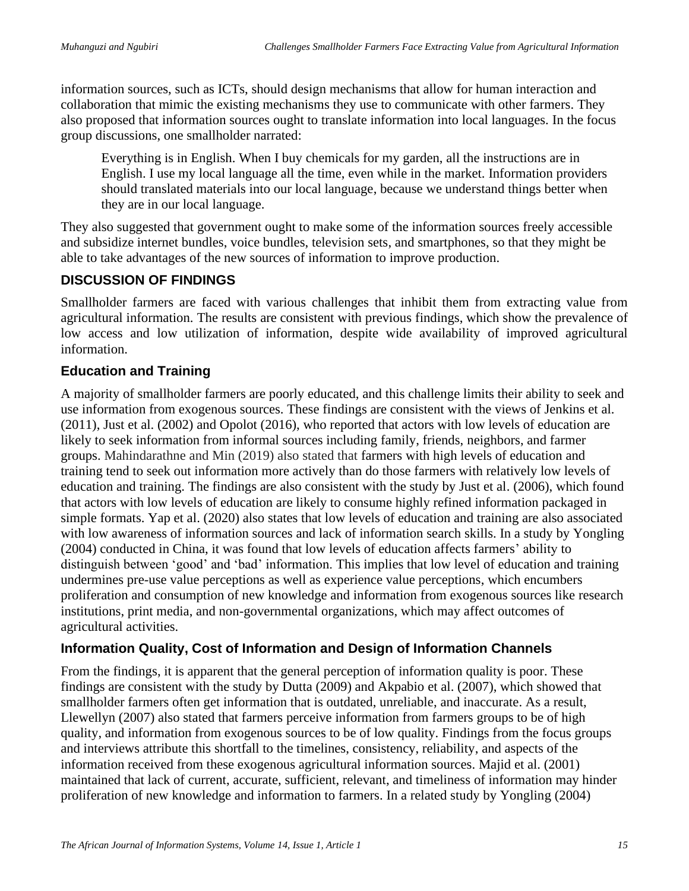information sources, such as ICTs, should design mechanisms that allow for human interaction and collaboration that mimic the existing mechanisms they use to communicate with other farmers. They also proposed that information sources ought to translate information into local languages. In the focus group discussions, one smallholder narrated:

Everything is in English. When I buy chemicals for my garden, all the instructions are in English. I use my local language all the time, even while in the market. Information providers should translated materials into our local language, because we understand things better when they are in our local language.

They also suggested that government ought to make some of the information sources freely accessible and subsidize internet bundles, voice bundles, television sets, and smartphones, so that they might be able to take advantages of the new sources of information to improve production.

## **DISCUSSION OF FINDINGS**

Smallholder farmers are faced with various challenges that inhibit them from extracting value from agricultural information. The results are consistent with previous findings, which show the prevalence of low access and low utilization of information, despite wide availability of improved agricultural information.

## **Education and Training**

A majority of smallholder farmers are poorly educated, and this challenge limits their ability to seek and use information from exogenous sources. These findings are consistent with the views of Jenkins et al. (2011), Just et al. (2002) and Opolot (2016), who reported that actors with low levels of education are likely to seek information from informal sources including family, friends, neighbors, and farmer groups. Mahindarathne and Min (2019) also stated that farmers with high levels of education and training tend to seek out information more actively than do those farmers with relatively low levels of education and training. The findings are also consistent with the study by Just et al. (2006), which found that actors with low levels of education are likely to consume highly refined information packaged in simple formats. Yap et al. (2020) also states that low levels of education and training are also associated with low awareness of information sources and lack of information search skills. In a study by Yongling (2004) conducted in China, it was found that low levels of education affects farmers' ability to distinguish between 'good' and 'bad' information. This implies that low level of education and training undermines pre-use value perceptions as well as experience value perceptions, which encumbers proliferation and consumption of new knowledge and information from exogenous sources like research institutions, print media, and non-governmental organizations, which may affect outcomes of agricultural activities.

# **Information Quality, Cost of Information and Design of Information Channels**

From the findings, it is apparent that the general perception of information quality is poor. These findings are consistent with the study by Dutta (2009) and Akpabio et al. (2007), which showed that smallholder farmers often get information that is outdated, unreliable, and inaccurate. As a result, Llewellyn (2007) also stated that farmers perceive information from farmers groups to be of high quality, and information from exogenous sources to be of low quality. Findings from the focus groups and interviews attribute this shortfall to the timelines, consistency, reliability, and aspects of the information received from these exogenous agricultural information sources. Majid et al. (2001) maintained that lack of current, accurate, sufficient, relevant, and timeliness of information may hinder proliferation of new knowledge and information to farmers. In a related study by Yongling (2004)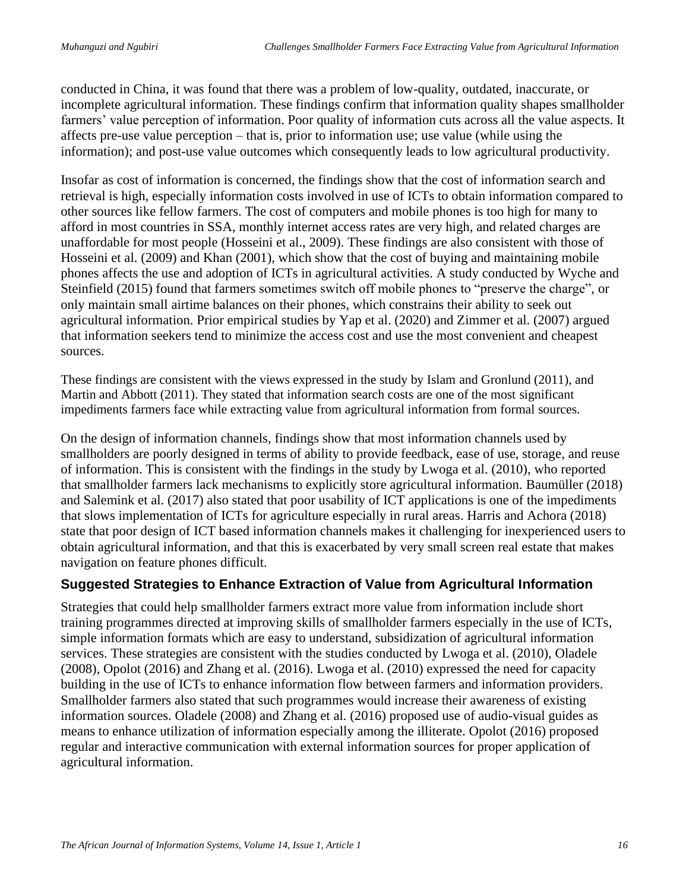conducted in China, it was found that there was a problem of low-quality, outdated, inaccurate, or incomplete agricultural information. These findings confirm that information quality shapes smallholder farmers' value perception of information. Poor quality of information cuts across all the value aspects. It affects pre-use value perception – that is, prior to information use; use value (while using the information); and post-use value outcomes which consequently leads to low agricultural productivity.

Insofar as cost of information is concerned, the findings show that the cost of information search and retrieval is high, especially information costs involved in use of ICTs to obtain information compared to other sources like fellow farmers. The cost of computers and mobile phones is too high for many to afford in most countries in SSA, monthly internet access rates are very high, and related charges are unaffordable for most people (Hosseini et al., 2009). These findings are also consistent with those of Hosseini et al. (2009) and Khan (2001), which show that the cost of buying and maintaining mobile phones affects the use and adoption of ICTs in agricultural activities. A study conducted by Wyche and Steinfield (2015) found that farmers sometimes switch off mobile phones to "preserve the charge", or only maintain small airtime balances on their phones, which constrains their ability to seek out agricultural information. Prior empirical studies by Yap et al. (2020) and Zimmer et al. (2007) argued that information seekers tend to minimize the access cost and use the most convenient and cheapest sources.

These findings are consistent with the views expressed in the study by Islam and Gronlund (2011), and Martin and Abbott (2011). They stated that information search costs are one of the most significant impediments farmers face while extracting value from agricultural information from formal sources.

On the design of information channels, findings show that most information channels used by smallholders are poorly designed in terms of ability to provide feedback, ease of use, storage, and reuse of information. This is consistent with the findings in the study by Lwoga et al. (2010), who reported that smallholder farmers lack mechanisms to explicitly store agricultural information. Baumüller (2018) and Salemink et al. (2017) also stated that poor usability of ICT applications is one of the impediments that slows implementation of ICTs for agriculture especially in rural areas. Harris and Achora (2018) state that poor design of ICT based information channels makes it challenging for inexperienced users to obtain agricultural information, and that this is exacerbated by very small screen real estate that makes navigation on feature phones difficult.

## **Suggested Strategies to Enhance Extraction of Value from Agricultural Information**

Strategies that could help smallholder farmers extract more value from information include short training programmes directed at improving skills of smallholder farmers especially in the use of ICTs, simple information formats which are easy to understand, subsidization of agricultural information services. These strategies are consistent with the studies conducted by Lwoga et al. (2010), Oladele (2008), Opolot (2016) and Zhang et al. (2016). Lwoga et al. (2010) expressed the need for capacity building in the use of ICTs to enhance information flow between farmers and information providers. Smallholder farmers also stated that such programmes would increase their awareness of existing information sources. Oladele (2008) and Zhang et al. (2016) proposed use of audio-visual guides as means to enhance utilization of information especially among the illiterate. Opolot (2016) proposed regular and interactive communication with external information sources for proper application of agricultural information.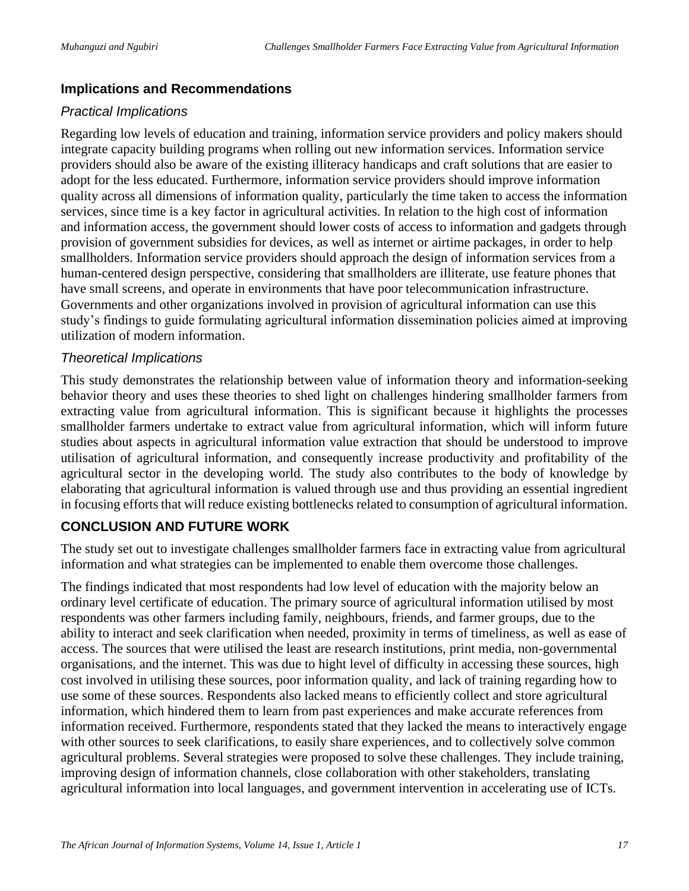#### **Implications and Recommendations**

#### *Practical Implications*

Regarding low levels of education and training, information service providers and policy makers should integrate capacity building programs when rolling out new information services. Information service providers should also be aware of the existing illiteracy handicaps and craft solutions that are easier to adopt for the less educated. Furthermore, information service providers should improve information quality across all dimensions of information quality, particularly the time taken to access the information services, since time is a key factor in agricultural activities. In relation to the high cost of information and information access, the government should lower costs of access to information and gadgets through provision of government subsidies for devices, as well as internet or airtime packages, in order to help smallholders. Information service providers should approach the design of information services from a human-centered design perspective, considering that smallholders are illiterate, use feature phones that have small screens, and operate in environments that have poor telecommunication infrastructure. Governments and other organizations involved in provision of agricultural information can use this study's findings to guide formulating agricultural information dissemination policies aimed at improving utilization of modern information.

#### *Theoretical Implications*

This study demonstrates the relationship between value of information theory and information-seeking behavior theory and uses these theories to shed light on challenges hindering smallholder farmers from extracting value from agricultural information. This is significant because it highlights the processes smallholder farmers undertake to extract value from agricultural information, which will inform future studies about aspects in agricultural information value extraction that should be understood to improve utilisation of agricultural information, and consequently increase productivity and profitability of the agricultural sector in the developing world. The study also contributes to the body of knowledge by elaborating that agricultural information is valued through use and thus providing an essential ingredient in focusing efforts that will reduce existing bottlenecks related to consumption of agricultural information.

#### **CONCLUSION AND FUTURE WORK**

The study set out to investigate challenges smallholder farmers face in extracting value from agricultural information and what strategies can be implemented to enable them overcome those challenges.

The findings indicated that most respondents had low level of education with the majority below an ordinary level certificate of education. The primary source of agricultural information utilised by most respondents was other farmers including family, neighbours, friends, and farmer groups, due to the ability to interact and seek clarification when needed, proximity in terms of timeliness, as well as ease of access. The sources that were utilised the least are research institutions, print media, non-governmental organisations, and the internet. This was due to hight level of difficulty in accessing these sources, high cost involved in utilising these sources, poor information quality, and lack of training regarding how to use some of these sources. Respondents also lacked means to efficiently collect and store agricultural information, which hindered them to learn from past experiences and make accurate references from information received. Furthermore, respondents stated that they lacked the means to interactively engage with other sources to seek clarifications, to easily share experiences, and to collectively solve common agricultural problems. Several strategies were proposed to solve these challenges. They include training, improving design of information channels, close collaboration with other stakeholders, translating agricultural information into local languages, and government intervention in accelerating use of ICTs.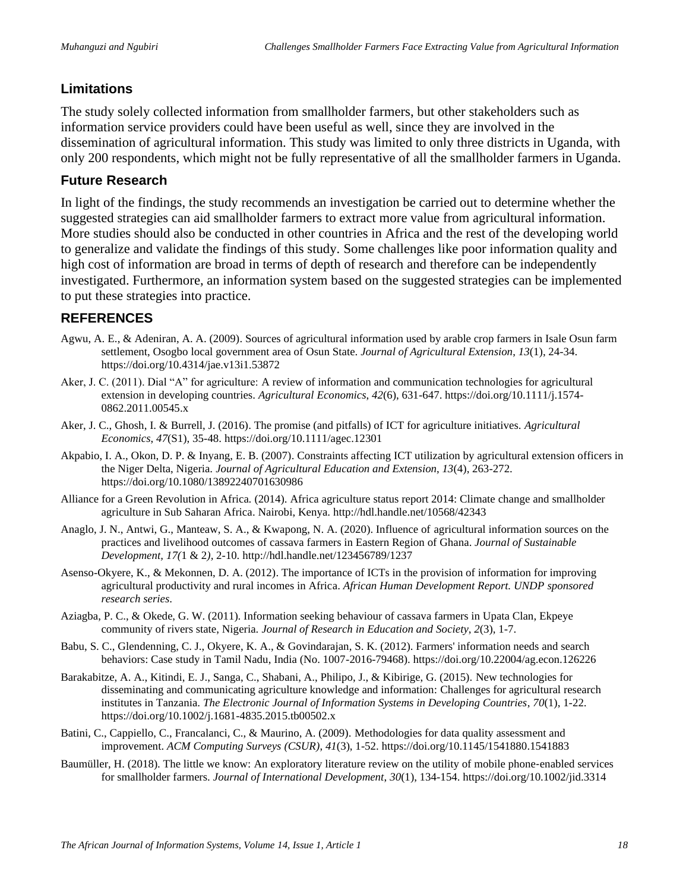## **Limitations**

The study solely collected information from smallholder farmers, but other stakeholders such as information service providers could have been useful as well, since they are involved in the dissemination of agricultural information. This study was limited to only three districts in Uganda, with only 200 respondents, which might not be fully representative of all the smallholder farmers in Uganda.

#### **Future Research**

In light of the findings, the study recommends an investigation be carried out to determine whether the suggested strategies can aid smallholder farmers to extract more value from agricultural information. More studies should also be conducted in other countries in Africa and the rest of the developing world to generalize and validate the findings of this study. Some challenges like poor information quality and high cost of information are broad in terms of depth of research and therefore can be independently investigated. Furthermore, an information system based on the suggested strategies can be implemented to put these strategies into practice.

## **REFERENCES**

- Agwu, A. E., & Adeniran, A. A. (2009). Sources of agricultural information used by arable crop farmers in Isale Osun farm settlement, Osogbo local government area of Osun State. *Journal of Agricultural Extension*, *13*(1), 24-34. https://doi.org/10.4314/jae.v13i1.53872
- Aker, J. C. (2011). Dial "A" for agriculture: A review of information and communication technologies for agricultural extension in developing countries. *Agricultural Economics*, *42*(6), 631-647. https://doi.org/10.1111/j.1574- 0862.2011.00545.x
- Aker, J. C., Ghosh, I. & Burrell, J. (2016). The promise (and pitfalls) of ICT for agriculture initiatives. *Agricultural Economics*, *47*(S1), 35-48. https://doi.org/10.1111/agec.12301
- Akpabio, I. A., Okon, D. P. & Inyang, E. B. (2007). Constraints affecting ICT utilization by agricultural extension officers in the Niger Delta, Nigeria. *Journal of Agricultural Education and Extension*, *13*(4), 263-272. https://doi.org/10.1080/13892240701630986
- Alliance for a Green Revolution in Africa. (2014). Africa agriculture status report 2014: Climate change and smallholder agriculture in Sub Saharan Africa. Nairobi, Kenya.<http://hdl.handle.net/10568/42343>
- Anaglo, J. N., Antwi, G., Manteaw, S. A., & Kwapong, N. A. (2020). Influence of agricultural information sources on the practices and livelihood outcomes of cassava farmers in Eastern Region of Ghana. *Journal of Sustainable Development, 17(*1 & 2*),* 2-10. http://hdl.handle.net/123456789/1237
- Asenso-Okyere, K., & Mekonnen, D. A. (2012). The importance of ICTs in the provision of information for improving agricultural productivity and rural incomes in Africa. *African Human Development Report. UNDP sponsored research series*.
- Aziagba, P. C., & Okede, G. W. (2011). Information seeking behaviour of cassava farmers in Upata Clan, Ekpeye community of rivers state, Nigeria. *Journal of Research in Education and Society*, *2*(3), 1-7.
- Babu, S. C., Glendenning, C. J., Okyere, K. A., & Govindarajan, S. K. (2012). Farmers' information needs and search behaviors: Case study in Tamil Nadu, India (No. 1007-2016-79468). https://doi.org/10.22004/ag.econ.126226
- Barakabitze, A. A., Kitindi, E. J., Sanga, C., Shabani, A., Philipo, J., & Kibirige, G. (2015). New technologies for disseminating and communicating agriculture knowledge and information: Challenges for agricultural research institutes in Tanzania. *The Electronic Journal of Information Systems in Developing Countries*, *70*(1), 1-22. https://doi.org/10.1002/j.1681-4835.2015.tb00502.x
- Batini, C., Cappiello, C., Francalanci, C., & Maurino, A. (2009). Methodologies for data quality assessment and improvement. *ACM Computing Surveys (CSUR)*, *41*(3), 1-52. https://doi.org/10.1145/1541880.1541883
- Baumüller, H. (2018). The little we know: An exploratory literature review on the utility of mobile phone‐enabled services for smallholder farmers. *Journal of International Development*, *30*(1), 134-154. https://doi.org/10.1002/jid.3314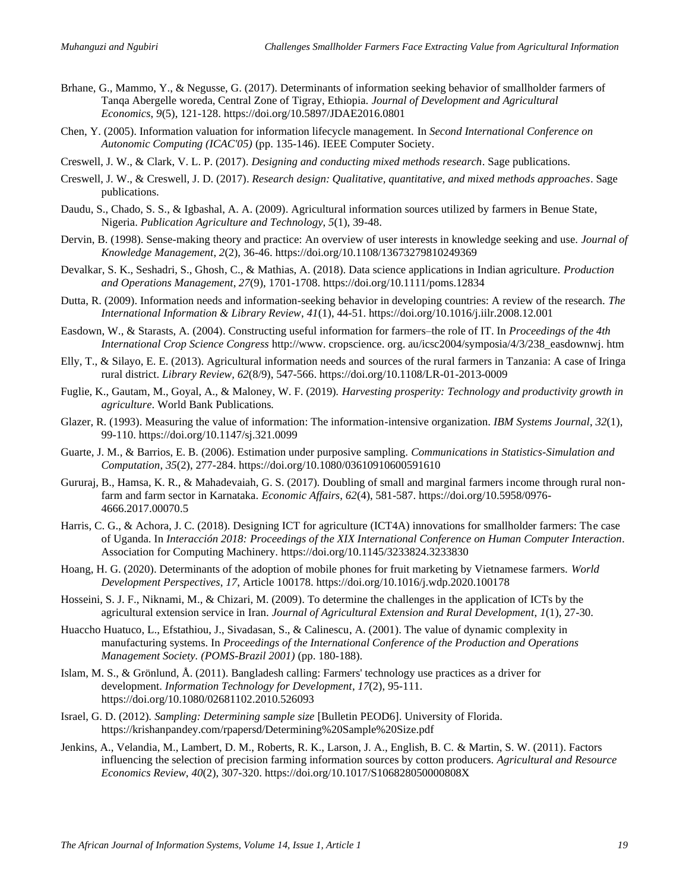- Brhane, G., Mammo, Y., & Negusse, G. (2017). Determinants of information seeking behavior of smallholder farmers of Tanqa Abergelle woreda, Central Zone of Tigray, Ethiopia. *Journal of Development and Agricultural Economics*, *9*(5), 121-128. https://doi.org/10.5897/JDAE2016.0801
- Chen, Y. (2005). Information valuation for information lifecycle management. In *Second International Conference on Autonomic Computing (ICAC'05)* (pp. 135-146). IEEE Computer Society.
- Creswell, J. W., & Clark, V. L. P. (2017). *Designing and conducting mixed methods research*. Sage publications.
- Creswell, J. W., & Creswell, J. D. (2017). *Research design: Qualitative, quantitative, and mixed methods approaches*. Sage publications.
- Daudu, S., Chado, S. S., & Igbashal, A. A. (2009). Agricultural information sources utilized by farmers in Benue State, Nigeria. *Publication Agriculture and Technology*, *5*(1), 39-48.
- Dervin, B. (1998). Sense-making theory and practice: An overview of user interests in knowledge seeking and use. *Journal of Knowledge Management*, *2*(2), 36-46. https://doi.org/10.1108/13673279810249369
- Devalkar, S. K., Seshadri, S., Ghosh, C., & Mathias, A. (2018). Data science applications in Indian agriculture. *Production and Operations Management*, *27*(9), 1701-1708. https://doi.org/10.1111/poms.12834
- Dutta, R. (2009). Information needs and information-seeking behavior in developing countries: A review of the research. *The International Information & Library Review*, *41*(1), 44-51. https://doi.org/10.1016/j.iilr.2008.12.001
- Easdown, W., & Starasts, A. (2004). Constructing useful information for farmers–the role of IT. In *Proceedings of the 4th International Crop Science Congress* http://www. cropscience. org. au/icsc2004/symposia/4/3/238\_easdownwj. htm
- Elly, T., & Silayo, E. E. (2013). Agricultural information needs and sources of the rural farmers in Tanzania: A case of Iringa rural district. *Library Review, 62*(8/9), 547-566. https://doi.org/10.1108/LR-01-2013-0009
- Fuglie, K., Gautam, M., Goyal, A., & Maloney, W. F. (2019). *Harvesting prosperity: Technology and productivity growth in agriculture*. World Bank Publications*.*
- Glazer, R. (1993). Measuring the value of information: The information-intensive organization. *IBM Systems Journal*, *32*(1), 99-110. https://doi.org/10.1147/sj.321.0099
- Guarte, J. M., & Barrios, E. B. (2006). Estimation under purposive sampling. *Communications in Statistics-Simulation and Computation*, *35*(2), 277-284. https://doi.org/10.1080/03610910600591610
- Gururaj, B., Hamsa, K. R., & Mahadevaiah, G. S. (2017). Doubling of small and marginal farmers income through rural nonfarm and farm sector in Karnataka. *Economic Affairs*, *62*(4), 581-587. https://doi.org/10.5958/0976- 4666.2017.00070.5
- Harris, C. G., & Achora, J. C. (2018). Designing ICT for agriculture (ICT4A) innovations for smallholder farmers: The case of Uganda. In *Interacción 2018: Proceedings of the XIX International Conference on Human Computer Interaction.* Association for Computing Machinery. https://doi.org/10.1145/3233824.3233830
- Hoang, H. G. (2020). Determinants of the adoption of mobile phones for fruit marketing by Vietnamese farmers. *World Development Perspectives*, *17*, Article 100178. https://doi.org/10.1016/j.wdp.2020.100178
- Hosseini, S. J. F., Niknami, M., & Chizari, M. (2009). To determine the challenges in the application of ICTs by the agricultural extension service in Iran. *Journal of Agricultural Extension and Rural Development*, *1*(1), 27-30.
- Huaccho Huatuco, L., Efstathiou, J., Sivadasan, S., & Calinescu, A. (2001). The value of dynamic complexity in manufacturing systems. In *Proceedings of the International Conference of the Production and Operations Management Society. (POMS-Brazil 2001)* (pp. 180-188).
- Islam, M. S., & Grönlund, Å. (2011). Bangladesh calling: Farmers' technology use practices as a driver for development. *Information Technology for Development*, *17*(2), 95-111. https://doi.org/10.1080/02681102.2010.526093
- Israel, G. D. (2012). *Sampling: Determining sample size* [Bulletin PEOD6]. University of Florida. https://krishanpandey.com/rpapersd/Determining%20Sample%20Size.pdf
- Jenkins, A., Velandia, M., Lambert, D. M., Roberts, R. K., Larson, J. A., English, B. C. & Martin, S. W. (2011). Factors influencing the selection of precision farming information sources by cotton producers. *Agricultural and Resource Economics Review*, *40*(2), 307-320. https://doi.org/10.1017/S106828050000808X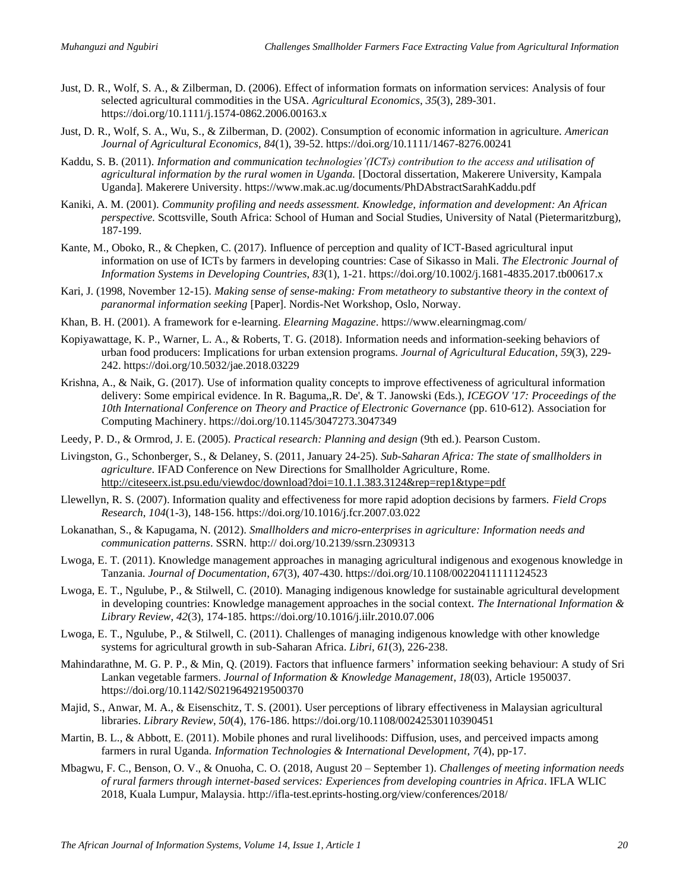- Just, D. R., Wolf, S. A., & Zilberman, D. (2006). Effect of information formats on information services: Analysis of four selected agricultural commodities in the USA. *Agricultural Economics*, *35*(3), 289-301. https://doi.org/10.1111/j.1574-0862.2006.00163.x
- Just, D. R., Wolf, S. A., Wu, S., & Zilberman, D. (2002). Consumption of economic information in agriculture. *American Journal of Agricultural Economics*, *84*(1), 39-52. https://doi.org/10.1111/1467-8276.00241
- Kaddu, S. B. (2011). *Information and communication technologies'(ICTs) contribution to the access and utilisation of agricultural information by the rural women in Uganda.* [Doctoral dissertation, Makerere University, Kampala Uganda]. Makerere University. https://www.mak.ac.ug/documents/PhDAbstractSarahKaddu.pdf
- Kaniki, A. M. (2001). *Community profiling and needs assessment. Knowledge, information and development: An African perspective.* Scottsville, South Africa: School of Human and Social Studies, University of Natal (Pietermaritzburg), 187-199.
- Kante, M., Oboko, R., & Chepken, C. (2017). Influence of perception and quality of ICT-Based agricultural input information on use of ICTs by farmers in developing countries: Case of Sikasso in Mali. *The Electronic Journal of Information Systems in Developing Countries*, *83*(1), 1-21. https://doi.org/10.1002/j.1681-4835.2017.tb00617.x
- Kari, J. (1998, November 12-15). *Making sense of sense-making: From metatheory to substantive theory in the context of paranormal information seeking* [Paper]. Nordis-Net Workshop, Oslo, Norway.
- Khan, B. H. (2001). A framework for e-learning. *Elearning Magazine*. https://www.elearningmag.com/
- Kopiyawattage, K. P., Warner, L. A., & Roberts, T. G. (2018). Information needs and information-seeking behaviors of urban food producers: Implications for urban extension programs. *Journal of Agricultural Education*, *59*(3), 229- 242. https://doi.org/10.5032/jae.2018.03229
- Krishna, A., & Naik, G. (2017). Use of information quality concepts to improve effectiveness of agricultural information delivery: Some empirical evidence. In R. Baguma,,R. De', & T. Janowski (Eds.), *ICEGOV '17: Proceedings of the 10th International Conference on Theory and Practice of Electronic Governance* (pp. 610-612). Association for Computing Machinery. https://doi.org/10.1145/3047273.3047349
- Leedy, P. D., & Ormrod, J. E. (2005). *Practical research: Planning and design* (9th ed.). Pearson Custom.
- Livingston, G., Schonberger, S., & Delaney, S. (2011, January 24-25). *Sub-Saharan Africa: The state of smallholders in agriculture*. IFAD Conference on New Directions for Smallholder Agriculture, Rome. <http://citeseerx.ist.psu.edu/viewdoc/download?doi=10.1.1.383.3124&rep=rep1&type=pdf>
- Llewellyn, R. S. (2007). Information quality and effectiveness for more rapid adoption decisions by farmers. *Field Crops Research*, *104*(1-3), 148-156. https://doi.org/10.1016/j.fcr.2007.03.022
- Lokanathan, S., & Kapugama, N. (2012). *Smallholders and micro-enterprises in agriculture: Information needs and communication patterns*. SSRN*.* http:// doi.org/10.2139/ssrn.2309313
- Lwoga, E. T. (2011). Knowledge management approaches in managing agricultural indigenous and exogenous knowledge in Tanzania. *Journal of Documentation*, *67*(3), 407-430. https://doi.org/10.1108/00220411111124523
- Lwoga, E. T., Ngulube, P., & Stilwell, C. (2010). Managing indigenous knowledge for sustainable agricultural development in developing countries: Knowledge management approaches in the social context. *The International Information & Library Review*, *42*(3), 174-185. https://doi.org/10.1016/j.iilr.2010.07.006
- Lwoga, E. T., Ngulube, P., & Stilwell, C. (2011). Challenges of managing indigenous knowledge with other knowledge systems for agricultural growth in sub-Saharan Africa. *Libri*, *61*(3), 226-238.
- Mahindarathne, M. G. P. P., & Min, Q. (2019). Factors that influence farmers' information seeking behaviour: A study of Sri Lankan vegetable farmers. *Journal of Information & Knowledge Management*, *18*(03), Article 1950037. https://doi.org/10.1142/S0219649219500370
- Majid, S., Anwar, M. A., & Eisenschitz, T. S. (2001). User perceptions of library effectiveness in Malaysian agricultural libraries. *Library Review*, *50*(4), 176-186. https://doi.org/10.1108/00242530110390451
- Martin, B. L., & Abbott, E. (2011). Mobile phones and rural livelihoods: Diffusion, uses, and perceived impacts among farmers in rural Uganda*. Information Technologies & International Development*, *7*(4), pp-17.
- Mbagwu, F. C., Benson, O. V., & Onuoha, C. O. (2018, August 20 September 1). *Challenges of meeting information needs of rural farmers through internet-based services: Experiences from developing countries in Africa*. IFLA WLIC 2018, Kuala Lumpur, Malaysia. http://ifla-test.eprints-hosting.org/view/conferences/2018/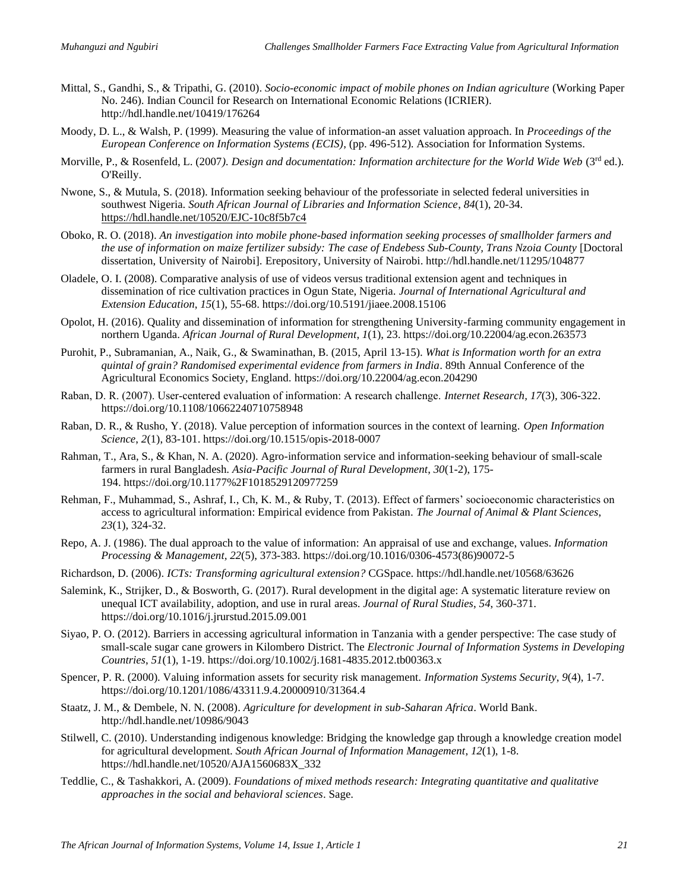- Mittal, S., Gandhi, S., & Tripathi, G. (2010). *Socio-economic impact of mobile phones on Indian agriculture* (Working Paper No. 246). Indian Council for Research on International Economic Relations (ICRIER). http://hdl.handle.net/10419/176264
- Moody, D. L., & Walsh, P. (1999). Measuring the value of information-an asset valuation approach. In *Proceedings of the European Conference on Information Systems (ECIS)*, (pp. 496-512). Association for Information Systems.
- Morville, P., & Rosenfeld, L. (2007). Design and documentation: Information architecture for the World Wide Web (3<sup>rd</sup> ed.). O'Reilly.
- Nwone, S., & Mutula, S. (2018). Information seeking behaviour of the professoriate in selected federal universities in southwest Nigeria. *South African Journal of Libraries and Information Science*, *84*(1), 20-34. <https://hdl.handle.net/10520/EJC-10c8f5b7c4>
- Oboko, R. O. (2018). *An investigation into mobile phone-based information seeking processes of smallholder farmers and the use of information on maize fertilizer subsidy: The case of Endebess Sub-County, Trans Nzoia County* [Doctoral dissertation, University of Nairobi]. Erepository, University of Nairobi. http://hdl.handle.net/11295/104877
- Oladele, O. I. (2008). Comparative analysis of use of videos versus traditional extension agent and techniques in dissemination of rice cultivation practices in Ogun State, Nigeria. *Journal of International Agricultural and Extension Education*, *15*(1), 55-68. https://doi.org/10.5191/jiaee.2008.15106
- Opolot, H. (2016). Quality and dissemination of information for strengthening University-farming community engagement in northern Uganda. *African Journal of Rural Development*, *1*(1), 23. https://doi.org/10.22004/ag.econ.263573
- Purohit, P., Subramanian, A., Naik, G., & Swaminathan, B. (2015, April 13-15). *What is Information worth for an extra quintal of grain? Randomised experimental evidence from farmers in India*. 89th Annual Conference of the Agricultural Economics Society, England. https://doi.org/10.22004/ag.econ.204290
- Raban, D. R. (2007). User‐centered evaluation of information: A research challenge. *Internet Research, 17*(3)*,* 306-322. https://doi.org/10.1108/10662240710758948
- Raban, D. R., & Rusho, Y. (2018). Value perception of information sources in the context of learning. *Open Information Science*, *2*(1), 83-101. https://doi.org/10.1515/opis-2018-0007
- Rahman, T., Ara, S., & Khan, N. A. (2020). Agro-information service and information-seeking behaviour of small-scale farmers in rural Bangladesh. *Asia-Pacific Journal of Rural Development*, *30*(1-2), 175- 194. https://doi.org/10.1177%2F1018529120977259
- Rehman, F., Muhammad, S., Ashraf, I., Ch, K. M., & Ruby, T. (2013). Effect of farmers' socioeconomic characteristics on access to agricultural information: Empirical evidence from Pakistan. *The Journal of Animal & Plant Sciences*, *23*(1), 324-32.
- Repo, A. J. (1986). The dual approach to the value of information: An appraisal of use and exchange, values. *Information Processing & Management, 22*(5), 373-383. https://doi.org/10.1016/0306-4573(86)90072-5
- Richardson, D. (2006). *ICTs: Transforming agricultural extension?* CGSpace. https://hdl.handle.net/10568/63626
- Salemink, K., Strijker, D., & Bosworth, G. (2017). Rural development in the digital age: A systematic literature review on unequal ICT availability, adoption, and use in rural areas. *Journal of Rural Studies*, *54*, 360-371. https://doi.org/10.1016/j.jrurstud.2015.09.001
- Siyao, P. O. (2012). Barriers in accessing agricultural information in Tanzania with a gender perspective: The case study of small-scale sugar cane growers in Kilombero District. The *Electronic Journal of Information Systems in Developing Countries*, *51*(1), 1-19. https://doi.org/10.1002/j.1681-4835.2012.tb00363.x
- Spencer, P. R. (2000). Valuing information assets for security risk management. *Information Systems Security*, *9*(4), 1-7. https://doi.org/10.1201/1086/43311.9.4.20000910/31364.4
- Staatz, J. M., & Dembele, N. N. (2008). *Agriculture for development in sub-Saharan Africa*. World Bank. http://hdl.handle.net/10986/9043
- Stilwell, C. (2010). Understanding indigenous knowledge: Bridging the knowledge gap through a knowledge creation model for agricultural development. *South African Journal of Information Management*, *12*(1), 1-8. https://hdl.handle.net/10520/AJA1560683X\_332
- Teddlie, C., & Tashakkori, A. (2009). *Foundations of mixed methods research: Integrating quantitative and qualitative approaches in the social and behavioral sciences*. Sage.